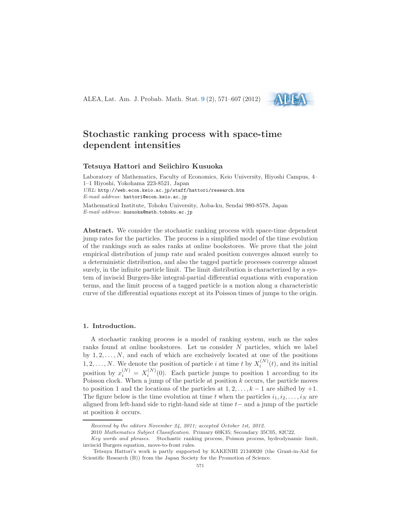ALEA, Lat. Am. J. Probab. Math. Stat. [9](http://alea.impa.br/english/index_v9.htm) (2), 571–607 (2012)



# Stochastic ranking process with space-time dependent intensities

# Tetsuya Hattori and Seiichiro Kusuoka

Laboratory of Mathematics, Faculty of Economics, Keio University, Hiyoshi Campus, 4– 1–1 Hiyoshi, Yokohama 223-8521, Japan URL: http://web.econ.keio.ac.jp/staff/hattori/research.htm E-mail address: hattori@econ.keio.ac.jp Mathematical Institute, Tohoku University, Aoba-ku, Sendai 980-8578, Japan E-mail address: kusuoka@math.tohoku.ac.jp

Abstract. We consider the stochastic ranking process with space-time dependent jump rates for the particles. The process is a simplified model of the time evolution of the rankings such as sales ranks at online bookstores. We prove that the joint empirical distribution of jump rate and scaled position converges almost surely to a deterministic distribution, and also the tagged particle processes converge almost surely, in the infinite particle limit. The limit distribution is characterized by a system of inviscid Burgers-like integral-partial differential equations with evaporation terms, and the limit process of a tagged particle is a motion along a characteristic curve of the differential equations except at its Poisson times of jumps to the origin.

#### <span id="page-0-0"></span>1. Introduction.

A stochastic ranking process is a model of ranking system, such as the sales ranks found at online bookstores. Let us consider N particles, which we label by  $1, 2, \ldots, N$ , and each of which are exclusively located at one of the positions 1, 2, ..., N. We denote the position of particle *i* at time *t* by  $X_i^{(N)}(t)$ , and its initial position by  $x_i^{(N)} = X_i^{(N)}(0)$ . Each particle jumps to position 1 according to its Poisson clock. When a jump of the particle at position  $k$  occurs, the particle moves to position 1 and the locations of the particles at  $1, 2, \ldots, k-1$  are shifted by  $+1$ . The figure below is the time evolution at time t when the particles  $i_1, i_2, \ldots, i_N$  are aligned from left-hand side to right-hand side at time  $t-$  and a jump of the particle at position k occurs.

Received by the editors November 24, 2011; accepted October 1st, 2012.

<sup>2010</sup> Mathematics Subject Classification. Primary 60K35; Secondary 35C05, 82C22.

Key words and phrases. Stochastic ranking process, Poisson process, hydrodynamic limit, inviscid Burgers equation, move-to-front rules.

Tetsuya Hattori's work is partly supported by KAKENHI 21340020 (the Grant-in-Aid for Scientific Research (B)) from the Japan Society for the Promotion of Science.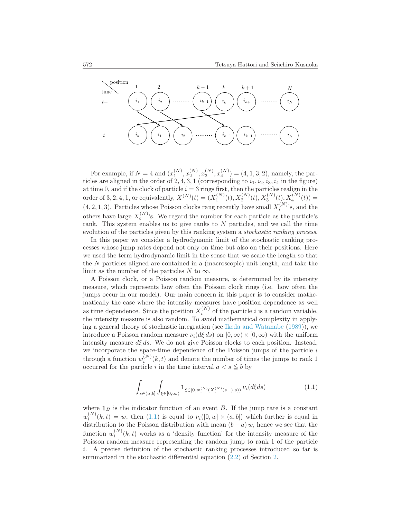

For example, if  $N = 4$  and  $(x_1^{(N)}, x_2^{(N)}, x_3^{(N)}, x_4^{(N)}) = (4, 1, 3, 2)$ , namely, the particles are aligned in the order of 2, 4, 3, 1 (corresponding to  $i_1, i_2, i_3, i_4$  in the figure) at time 0, and if the clock of particle  $i = 3$  rings first, then the particles realign in the order of 3, 2, 4, 1, or equivalently,  $X^{(N)}(t) = (X_1^{(N)}(t), X_2^{(N)}(t), X_3^{(N)}(t), X_4^{(N)}(t)) =$  $(4, 2, 1, 3)$ . Particles whose Poisson clocks rang recently have small  $X_i^{(N)}$ 's, and the others have large  $X_i^{(N)}$ 's. We regard the number for each particle as the particle's rank. This system enables us to give ranks to N particles, and we call the time evolution of the particles given by this ranking system a *stochastic ranking process*.

In this paper we consider a hydrodynamic limit of the stochastic ranking processes whose jump rates depend not only on time but also on their positions. Here we used the term hydrodynamic limit in the sense that we scale the length so that the N particles aligned are contained in a (macroscopic) unit length, and take the limit as the number of the particles N to  $\infty$ .

A Poisson clock, or a Poisson random measure, is determined by its intensity measure, which represents how often the Poisson clock rings (i.e. how often the jumps occur in our model). Our main concern in this paper is to consider mathematically the case where the intensity measures have position dependence as well as time dependence. Since the position  $X_i^{(N)}$  of the particle i is a random variable, the intensity measure is also random. To avoid mathematical complexity in applying a general theory of stochastic integration (see [Ikeda and Watanabe](#page-35-0) [\(1989\)](#page-35-0)), we introduce a Poisson random measure  $\nu_i(d\xi ds)$  on  $[0, \infty) \times [0, \infty)$  with the uniform intensity measure  $d\xi ds$ . We do not give Poisson clocks to each position. Instead, we incorporate the space-time dependence of the Poisson jumps of the particle  $i$ through a function  $w_i^{(N)}(k,t)$  and denote the number of times the jumps to rank 1 occurred for the particle i in the time interval  $a < s \leq b$  by

<span id="page-1-0"></span>
$$
\int_{s \in (a,b]} \int_{\xi \in [0,\infty)} \mathbf{1}_{\xi \in [0,w_i^{(N)}(X_i^{(N)}(s-),s))} \nu_i(d\xi ds) \tag{1.1}
$$

where  $\mathbf{1}_B$  is the indicator function of an event B. If the jump rate is a constant  $w_i^{(N)}(k,t) = w$ , then [\(1.1\)](#page-1-0) is equal to  $\nu_i([0,w] \times (a,b])$  which further is equal in distribution to the Poisson distribution with mean  $(b - a) w$ , hence we see that the function  $w_i^{(N)}$  $i^{(N)}(k,t)$  works as a 'density function' for the intensity measure of the Poisson random measure representing the random jump to rank 1 of the particle i. A precise definition of the stochastic ranking processes introduced so far is summarized in the stochastic differential equation [\(2.2\)](#page-4-0) of Section [2.](#page-4-1)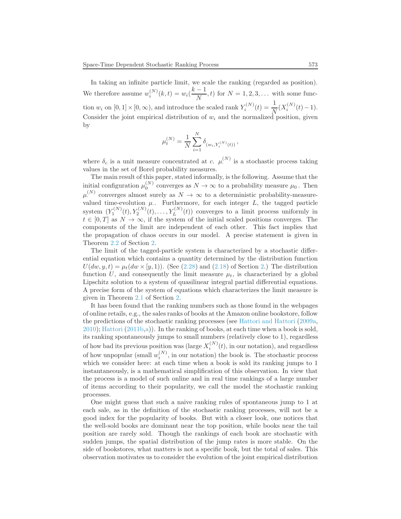In taking an infinite particle limit, we scale the ranking (regarded as position). We therefore assume  $w_i^{(N)}(k,t) = w_i(\frac{k-1}{N})$  $\frac{1}{N}$ , t) for  $N = 1, 2, 3, \ldots$  with some function  $w_i$  on  $[0,1] \times [0,\infty)$ , and introduce the scaled rank  $Y_i^{(N)}(t) = \frac{1}{N} (X_i^{(N)}(t) - 1)$ . Consider the joint empirical distribution of  $w_i$  and the normalized position, given by

$$
\mu_t^{(N)} = \frac{1}{N} \sum_{i=1}^N \delta_{(w_i, Y_i^{(N)}(t))},
$$

where  $\delta_c$  is a unit measure concentrated at c.  $\mu^{(N)}$  is a stochastic process taking values in the set of Borel probability measures.

The main result of this paper, stated informally, is the following. Assume that the initial configuration  $\mu_0^{(N)}$  converges as  $N \to \infty$  to a probability measure  $\mu_0$ . Then  $\mu^{(N)}$  converges almost surely as  $N \to \infty$  to a deterministic probability-measurevalued time-evolution  $\mu$ . Furthermore, for each integer  $L$ , the tagged particle system  $(Y_1^{(N)}(t), Y_2^{(N)}(t), \ldots, Y_L^{(N)}(t))$  converges to a limit process uniformly in  $t \in [0, T]$  as  $N \to \infty$ , if the system of the initial scaled positions converges. The components of the limit are independent of each other. This fact implies that the propagation of chaos occurs in our model. A precise statement is given in Theorem [2.2](#page-9-0) of Section [2.](#page-4-1)

The limit of the tagged-particle system is characterized by a stochastic differential equation which contains a quantity determined by the distribution function  $U(dw, y, t) = \mu_t(dw \times [y, 1])$ . (See [\(2.28\)](#page-9-1) and [\(2.18\)](#page-6-0) of Section [2.](#page-4-1)) The distribution function U, and consequently the limit measure  $\mu_t$ , is characterized by a global Lipschitz solution to a system of quasilinear integral partial differential equations. A precise form of the system of equations which characterizes the limit measure is given in Theorem [2.1](#page-6-1) of Section [2.](#page-4-1)

It has been found that the ranking numbers such as those found in the webpages of online retails, e.g., the sales ranks of books at the Amazon online bookstore, follow the predictions of the stochastic ranking processes (see [Hattori and Hattori](#page-35-1) [\(2009a,](#page-35-1) [2010\)](#page-35-2); [Hattori](#page-35-3) [\(2011b](#page-35-3)[,a](#page-35-4))). In the ranking of books, at each time when a book is sold, its ranking spontaneously jumps to small numbers (relatively close to 1), regardless of how bad its previous position was (large  $X_i^{(N)}(t)$ , in our notation), and regardless of how unpopular (small  $w_i^{(N)}$ , in our notation) the book is. The stochastic process which we consider here: at each time when a book is sold its ranking jumps to 1 instantaneously, is a mathematical simplification of this observation. In view that the process is a model of such online and in real time rankings of a large number of items according to their popularity, we call the model the stochastic ranking processes.

One might guess that such a naive ranking rules of spontaneous jump to 1 at each sale, as in the definition of the stochastic ranking processes, will not be a good index for the popularity of books. But with a closer look, one notices that the well-sold books are dominant near the top position, while books near the tail position are rarely sold. Though the rankings of each book are stochastic with sudden jumps, the spatial distribution of the jump rates is more stable. On the side of bookstores, what matters is not a specific book, but the total of sales. This observation motivates us to consider the evolution of the joint empirical distribution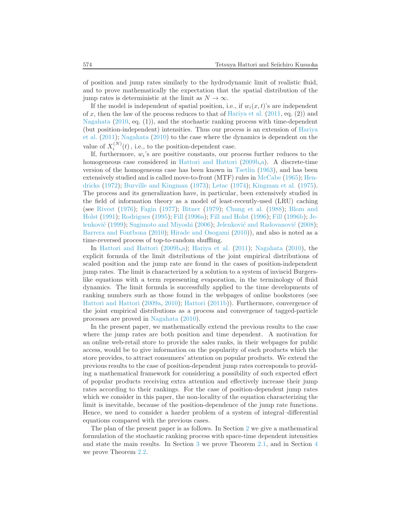of position and jump rates similarly to the hydrodynamic limit of realistic fluid, and to prove mathematically the expectation that the spatial distribution of the jump rates is deterministic at the limit as  $N \to \infty$ .

If the model is independent of spatial position, i.e., if  $w_i(x, t)$ 's are independent of x, then the law of the process reduces to that of [Hariya et al.](#page-35-5)  $(2011, \text{eq.} (2))$  $(2011, \text{eq.} (2))$  and [Nagahata](#page-36-0) [\(2010,](#page-36-0) eq. (1)), and the stochastic ranking process with time-dependent (but [position-independent\) intensities. Thus our process is an extension of](#page-35-5) Hariya et al. [\(2011\)](#page-35-5); [Nagahata](#page-36-0) [\(2010](#page-36-0)) to the case where the dynamics is dependent on the value of  $X_i^{(N)}(t)$ , i.e., to the position-dependent case.

If, furthermore,  $w_i$ 's are positive constants, our process further reduces to the homogeneous case considered in [Hattori and Hattori](#page-35-6) [\(2009b](#page-35-6)[,a\)](#page-35-1). A discrete-time version of the homogeneous case has been known in [Tsetlin](#page-36-1) [\(1963](#page-36-1)), and has been exten[sively studied and is called move-to-front \(MTF\) rules in](#page-35-7) [McCabe](#page-36-2) [\(1965\)](#page-36-2); Hendricks [\(1972\)](#page-35-7); [Burville and Kingman](#page-35-8) [\(1973\)](#page-35-8); [Letac](#page-36-3) [\(1974\)](#page-36-3); [Kingman et al.](#page-36-4) [\(1975\)](#page-36-4). The process and its generalization have, in particular, been extensively studied in the field of information theory as a model of least-recently-used (LRU) caching (see [Rivest](#page-36-5) [\(1976\)](#page-36-5); [Fagin](#page-35-9) [\(1977](#page-35-9)); [Bitner](#page-34-0) [\(1979](#page-34-0)); [Chung et al.](#page-35-10) [\(1988\)](#page-35-10); Blom and Holst [\(1991](#page-35-11)); [Rodrigues](#page-36-6) [\(1995](#page-36-6)); [Fill](#page-35-12) [\(1996a\)](#page-35-12); [Fill and Holst](#page-35-13) [\(1996](#page-35-13)); [Fill](#page-35-14) [\(1996b](#page-35-14)); Je-lenković [\(1999](#page-35-15)); [Sugimoto and Miyoshi](#page-36-7) [\(2006](#page-36-7)); Jelenković and Radovanović [\(2008\)](#page-36-8); [Barrera and Fontbona](#page-34-1) [\(2010\)](#page-34-1); [Hirade and Osogami](#page-35-16) [\(2010](#page-35-16))), and also is noted as a time-reversed process of top-to-random shuffling.

In [Hattori and Hattori](#page-35-6) [\(2009b](#page-35-6)[,a\)](#page-35-1); [Hariya et al.](#page-35-5) [\(2011](#page-35-5)); [Nagahata](#page-36-0) [\(2010](#page-36-0)), the explicit formula of the limit distributions of the joint empirical distributions of scaled position and the jump rate are found in the cases of position-independent jump rates. The limit is characterized by a solution to a system of inviscid Burgerslike equations with a term representing evaporation, in the terminology of fluid dynamics. The limit formula is successfully applied to the time developments of ranking numbers such as those found in the webpages of online bookstores (see [Hattori and Hattori](#page-35-1) [\(2009a,](#page-35-1) [2010\)](#page-35-2); [Hattori](#page-35-3) [\(2011b](#page-35-3))). Furthermore, convergence of the joint empirical distributions as a process and convergence of tagged-particle processes are proved in [Nagahata](#page-36-0) [\(2010\)](#page-36-0).

In the present paper, we mathematically extend the previous results to the case where the jump rates are both position and time dependent. A motivation for an online web-retail store to provide the sales ranks, in their webpages for public access, would be to give information on the popularity of each products which the store provides, to attract consumers' attention on popular products. We extend the previous results to the case of position-dependent jump rates corresponds to providing a mathematical framework for considering a possibility of such expected effect of popular products receiving extra attention and effectively increase their jump rates according to their rankings. For the case of position-dependent jump rates which we consider in this paper, the non-locality of the equation characterizing the limit is inevitable, because of the position-dependence of the jump rate functions. Hence, we need to consider a harder problem of a system of integral–differential equations compared with the previous cases.

The plan of the present paper is as follows. In Section [2](#page-4-1) we give a mathematical formulation of the stochastic ranking process with space-time dependent intensities and state the main results. In Section [3](#page-10-0) we prove Theorem [2.1,](#page-6-1) and in Section [4](#page-21-0) we prove Theorem [2.2.](#page-9-0)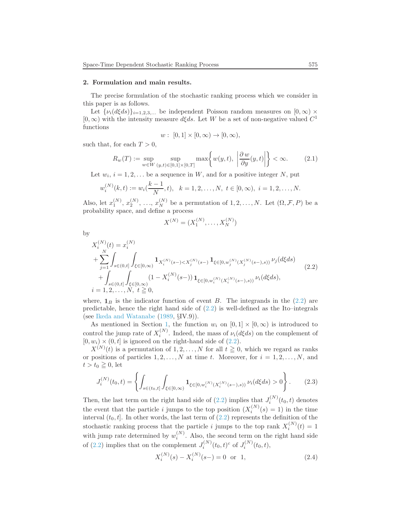#### <span id="page-4-1"></span>2. Formulation and main results.

The precise formulation of the stochastic ranking process which we consider in this paper is as follows.

Let  $\{\nu_i(d\xi ds)\}_{i=1,2,3,...}$  be independent Poisson random measures on  $[0,\infty)$  ×  $[0, \infty)$  with the intensity measure  $d\xi ds$ . Let W be a set of non-negative valued  $C^1$ functions

$$
w: [0,1] \times [0,\infty) \to [0,\infty),
$$

such that, for each  $T > 0$ ,

<span id="page-4-2"></span>
$$
R_w(T) := \sup_{w \in W} \sup_{(y,t) \in [0,1] \times [0,T]} \max \left\{ w(y,t), \left| \frac{\partial w}{\partial y}(y,t) \right| \right\} < \infty.
$$
 (2.1)

Let  $w_i$ ,  $i = 1, 2, \ldots$  be a sequence in W, and for a positive integer N, put

$$
w_i^{(N)}(k,t) := w_i(\frac{k-1}{N},t), \quad k = 1,2,\ldots,N, \ t \in [0,\infty), \ i = 1,2,\ldots,N.
$$

Also, let  $x_1^{(N)}, x_2^{(N)}, \ldots, x_N^{(N)}$  be a permutation of  $1, 2, \ldots, N$ . Let  $(\Omega, \mathcal{F}, P)$  be a probability space, and define a process

$$
X^{(N)} = (X_1^{(N)}, \dots, X_N^{(N)})
$$

by

<span id="page-4-0"></span>
$$
X_i^{(N)}(t) = x_i^{(N)}
$$
  
+ 
$$
\sum_{j=1}^N \int_{s \in (0,t]} \int_{\xi \in [0,\infty)} \mathbf{1}_{X_i^{(N)}(s-) < X_j^{(N)}(s-)} \mathbf{1}_{\xi \in [0,w_j^{(N)}(X_j^{(N)}(s-),s))} \nu_j(d\xi ds)
$$
  
+ 
$$
\int_{s \in (0,t]} \int_{\xi \in [0,\infty)} (1 - X_i^{(N)}(s-)) \mathbf{1}_{\xi \in [0,w_i^{(N)}(X_i^{(N)}(s-),s))} \nu_i(d\xi ds),
$$
  
 $i = 1, 2, ..., N, t \ge 0,$  (2.2)

where,  $\mathbf{1}_B$  is the indicator function of event B. The integrands in the [\(2.2\)](#page-4-0) are predictable, hence the right hand side of  $(2.2)$  is well-defined as the Ito–integrals (see [Ikeda and Watanabe](#page-35-0) [\(1989](#page-35-0), §IV.9)).

As mentioned in Section [1,](#page-0-0) the function  $w_i$  on  $[0,1] \times [0,\infty)$  is introduced to control the jump rate of  $X_i^{(N)}$ . Indeed, the mass of  $\nu_i(d\xi ds)$  on the complement of  $[0, w_i) \times (0, t]$  is ignored on the right-hand side of  $(2.2)$ .

 $X^{(N)}(t)$  is a permutation of  $1, 2, ..., N$  for all  $t \geq 0$ , which we regard as ranks or positions of particles  $1, 2, \ldots, N$  at time t. Moreover, for  $i = 1, 2, \ldots, N$ , and  $t > t_0 \geq 0$ , let

<span id="page-4-3"></span>
$$
J_i^{(N)}(t_0, t) = \left\{ \int_{s \in (t_0, t]} \int_{\xi \in [0, \infty)} \mathbf{1}_{\xi \in [0, w_i^{(N)}(X_i^{(N)}(s-), s))} \nu_i(d\xi ds) > 0 \right\}.
$$
 (2.3)

Then, the last term on the right hand side of [\(2.2\)](#page-4-0) implies that  $J_i^{(N)}(t_0, t)$  denotes i the event that the particle *i* jumps to the top position  $(X_i^{(N)})$  $i^{(N)}(s) = 1$ ) in the time interval  $(t_0, t]$ . In other words, the last term of  $(2.2)$  represents the definition of the stochastic ranking process that the particle *i* jumps to the top rank  $X_i^{(N)}(t) = 1$ with jump rate determined by  $w_i^{(N)}$ . Also, the second term on the right hand side of [\(2.2\)](#page-4-0) implies that on the complement  $J_i^{(N)}(t_0, t)^c$  of  $J_i^{(N)}(t_0, t)$ ,

<span id="page-4-4"></span>
$$
X_i^{(N)}(s) - X_i^{(N)}(s-) = 0 \quad \text{or} \quad 1,\tag{2.4}
$$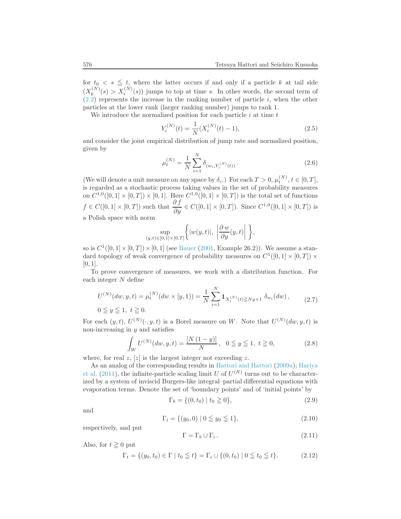for  $t_0 < s \leq t$ , where the latter occurs if and only if a particle k at tail side  $(X_k^{(N)}$  $k_k^{(N)}(s) > X_i^{(N)}(s)$  jumps to top at time s. In other words, the second term of  $(2.2)$  represents the increase in the ranking number of particle *i*, when the other particles at the lower rank (larger ranking number) jumps to rank 1.

We introduce the normalized position for each particle  $i$  at time  $t$ 

<span id="page-5-1"></span>
$$
Y_i^{(N)}(t) = \frac{1}{N} (X_i^{(N)}(t) - 1),
$$
\n(2.5)

and consider the joint empirical distribution of jump rate and normalized position, given by

$$
\mu_t^{(N)} = \frac{1}{N} \sum_{i=1}^N \delta_{(w_i, Y_i^{(N)}(t))}.
$$
\n(2.6)

(We will denote a unit measure on any space by  $\delta_c$ .) For each  $T > 0$ ,  $\mu_t^{(N)}$ ,  $t \in [0, T]$ , is regarded as a stochastic process taking values in the set of probability measures on  $C^{1,0}([0,1] \times [0,T]) \times [0,1]$ . Here  $C^{1,0}([0,1] \times [0,T])$  is the total set of functions  $f \in C([0,1] \times [0,T])$  such that  $\frac{\partial f}{\partial y} \in C([0,1] \times [0,T])$ . Since  $C^{1,0}([0,1] \times [0,T])$  is a Polish space with norm

$$
\sup_{t)\in[0,1]\times[0,T]}\bigg\{|w(y,t)|, \ \left|\frac{\partial w}{\partial y}(y,t)\right|\ \bigg\},\
$$

so is  $C^1([0,1] \times [0,T]) \times [0,1]$  (see [Bauer](#page-34-2) [\(2001](#page-34-2), Example 26.2)). We assume a standard topology of weak convergence of probability measures on  $C^1([0,1] \times [0,T]) \times$  $[0, 1]$ .

To prove convergence of measures, we work with a distribution function. For each integer N define

<span id="page-5-2"></span>
$$
U^{(N)}(dw, y, t) = \mu_t^{(N)}(dw \times [y, 1)) = \frac{1}{N} \sum_{i=1}^N \mathbf{1}_{X_i^{(N)}(t) \ge Ny+1} \delta_{w_i}(dw),
$$
\n
$$
0 \le y \le 1, \ t \ge 0.
$$
\n(2.7)

For each  $(y, t)$ ,  $U^{(N)}(\cdot, y, t)$  is a Borel measure on W. Note that  $U^{(N)}(dw, y, t)$  is non-increasing in  $y$  and satisfies

$$
\int_{W} U^{(N)}(dw, y, t) = \frac{[N(1-y)]}{N}, \quad 0 \le y \le 1, \ t \ge 0,
$$
\n(2.8)

where, for real z,  $[z]$  is the largest integer not exceeding z.

 $(y,$ 

A[s an analog of the corresponding results in](#page-35-5) [Hattori and Hattori](#page-35-1) [\(2009a](#page-35-1)); Hariya et al. [\(2011](#page-35-5)), the infinite-particle scaling limit U of  $U^{(N)}$  turns out to be characterized by a system of inviscid Burgers-like integral–partial differential equations with evaporation terms. Denote the set of 'boundary points' and of 'initial points' by

$$
\Gamma_b = \{ (0, t_0) \mid t_0 \ge 0 \},\tag{2.9}
$$

and

$$
\Gamma_i = \{ (y_0, 0) \mid 0 \le y_0 \le 1 \},\tag{2.10}
$$

respectively, and put

<span id="page-5-0"></span>
$$
\Gamma = \Gamma_b \cup \Gamma_i. \tag{2.11}
$$

Also, for  $t \geq 0$  put

$$
\Gamma_t = \{ (y_0, t_0) \in \Gamma \mid t_0 \le t \} = \Gamma_i \cup \{ (0, t_0) \mid 0 \le t_0 \le t \}. \tag{2.12}
$$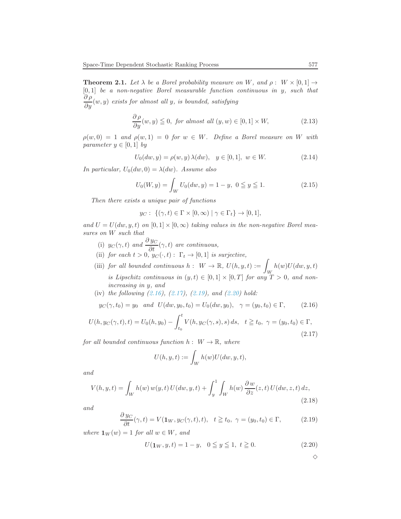<span id="page-6-1"></span>**Theorem 2.1.** Let  $\lambda$  be a Borel probability measure on W, and  $\rho : W \times [0,1] \rightarrow$  $[0, 1]$  be a non-negative Borel measurable function continuous in y, such that  $\frac{\partial \rho}{\partial y}(w,y)$  exists for almost all y, is bounded, satisfying

<span id="page-6-6"></span>
$$
\frac{\partial \rho}{\partial y}(w, y) \leq 0, \text{ for almost all } (y, w) \in [0, 1] \times W,
$$
\n(2.13)

 $\rho(w, 0) = 1$  and  $\rho(w, 1) = 0$  for  $w \in W$ . Define a Borel measure on W with parameter  $y \in [0, 1]$  by

<span id="page-6-7"></span>
$$
U_0(dw, y) = \rho(w, y) \lambda(dw), \quad y \in [0, 1], \ w \in W.
$$
 (2.14)

In particular,  $U_0(dw, 0) = \lambda(dw)$ . Assume also

<span id="page-6-8"></span>
$$
U_0(W, y) = \int_W U_0(dw, y) = 1 - y, \ 0 \le y \le 1.
$$
 (2.15)

Then there exists a unique pair of functions

$$
y_C: \ \{(\gamma, t) \in \Gamma \times [0, \infty) \mid \gamma \in \Gamma_t\} \to [0, 1],
$$

and  $U = U(dw, y, t)$  on  $[0, 1] \times [0, \infty)$  taking values in the non-negative Borel measures on W such that

- (i)  $y_C(\gamma, t)$  and  $\frac{\partial y_C}{\partial t}(\gamma, t)$  are continuous,
- (ii) for each  $t > 0$ ,  $y_C(\cdot, t) : \Gamma_t \to [0, 1]$  is surjective,
- (iii) for all bounded continuous  $h: W \to \mathbb{R}, U(h, y, t) :=$ W  $h(w)U(dw, y, t)$ is Lipschitz continuous in  $(y, t) \in [0, 1] \times [0, T]$  for any  $T > 0$ , and nonincreasing in y, and
- (iv) the following  $(2.16)$ ,  $(2.17)$ ,  $(2.19)$ , and  $(2.20)$  hold:

<span id="page-6-2"></span>
$$
y_C(\gamma, t_0) = y_0
$$
 and  $U(dw, y_0, t_0) = U_0(dw, y_0), \quad \gamma = (y_0, t_0) \in \Gamma,$  (2.16)

<span id="page-6-3"></span>
$$
U(h, y_C(\gamma, t), t) = U_0(h, y_0) - \int_{t_0}^t V(h, y_C(\gamma, s), s) ds, \quad t \ge t_0, \ \gamma = (y_0, t_0) \in \Gamma,
$$
\n(2.17)

for all bounded continuous function  $h: W \to \mathbb{R}$ , where

$$
U(h, y, t) := \int_W h(w) U(dw, y, t),
$$

and

<span id="page-6-0"></span>
$$
V(h, y, t) = \int_W h(w) w(y, t) U(dw, y, t) + \int_y^1 \int_W h(w) \frac{\partial w}{\partial z}(z, t) U(dw, z, t) dz,
$$
\n(2.18)

and

<span id="page-6-4"></span>
$$
\frac{\partial y_C}{\partial t}(\gamma, t) = V(\mathbf{1}_W, y_C(\gamma, t), t), \quad t \geqq t_0, \ \gamma = (y_0, t_0) \in \Gamma,
$$
 (2.19)

where  $\mathbf{1}_W(w) = 1$  for all  $w \in W$ , and

<span id="page-6-5"></span>
$$
U(\mathbf{1}_W, y, t) = 1 - y, \quad 0 \le y \le 1, \ t \ge 0. \tag{2.20}
$$

 $\Diamond$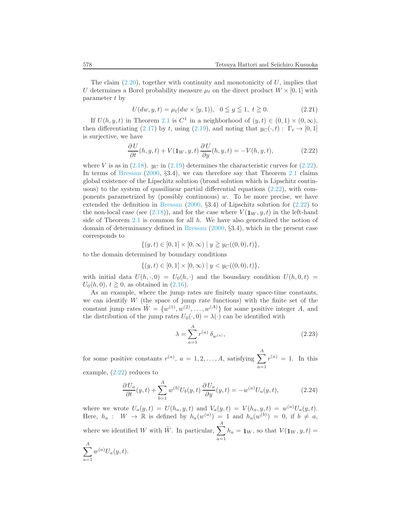The claim  $(2.20)$ , together with continuity and monotonicity of U, implies that U determines a Borel probability measure  $\mu_t$  on the direct product  $W \times [0, 1]$  with parameter t by

$$
U(dw, y, t) = \mu_t(dw \times [y, 1)), \ \ 0 \le y \le 1, \ t \ge 0.
$$
 (2.21)

If  $U(h, y, t)$  in Theorem [2.1](#page-6-1) is  $C^1$  in a neighborhood of  $(y, t) \in (0, 1) \times (0, \infty)$ , then differentiating [\(2.17\)](#page-6-3) by t, using [\(2.19\)](#page-6-4), and noting that  $y_C(\cdot, t) : \Gamma_t \to [0, 1]$ is surjective, we have

<span id="page-7-0"></span>
$$
\frac{\partial U}{\partial t}(h, y, t) + V(\mathbf{1}_W, y, t) \frac{\partial U}{\partial y}(h, y, t) = -V(h, y, t), \tag{2.22}
$$

where V is as in [\(2.18\)](#page-6-0).  $y_C$  in [\(2.19\)](#page-6-4) determines the characteristic curves for [\(2.22\)](#page-7-0). In terms of [Bressan](#page-35-17) [\(2000](#page-35-17), §3.4), we can therefore say that Theorem [2.1](#page-6-1) claims global existence of the Lipschitz solution (broad solution which is Lipschitz continuous) to the system of quasilinear partial differential equations [\(2.22\)](#page-7-0), with components parametrized by (possibly continuous) w. To be more precise, we have extended the definition in [Bressan](#page-35-17) [\(2000](#page-35-17), §3.4) of Lipschitz solution for [\(2.22\)](#page-7-0) to the non-local case (see [\(2.18\)](#page-6-0)), and for the case where  $V(1_W, y, t)$  in the left-hand side of Theorem [2.1](#page-6-1) is common for all  $h$ . We have also generalized the notion of domain of determinancy defined in [Bressan](#page-35-17) [\(2000,](#page-35-17) §3.4), which in the present case corresponds to

$$
\{(y,t)\in[0,1]\times[0,\infty)\mid y\geq y_C((0,0),t)\},\
$$

to the domain determined by boundary conditions

$$
\{(y,t)\in[0,1]\times[0,\infty)\mid y
$$

with initial data  $U(h, \cdot, 0) = U_0(h, \cdot)$  and the boundary condition  $U(h, 0, t) =$  $U_0(h, 0), t \ge 0$ , as obtained in  $(2.16)$ .

As an example, where the jump rates are finitely many space-time constants, we can identify  $W$  (the space of jump rate functions) with the finite set of the constant jump rates  $\tilde{W} = \{w^{(1)}, w^{(2)}, \ldots, w^{(A)}\}$  for some positive integer A, and the distribution of the jump rates  $U_0(\cdot, 0) = \lambda(\cdot)$  can be identified with

<span id="page-7-1"></span>
$$
\lambda = \sum_{a=1}^{A} r^{(a)} \, \delta_{w^{(a)}},\tag{2.23}
$$

for some positive constants  $r^{(a)}$ ,  $a = 1, 2, ..., A$ , satisfying  $\sum$ A  $a=1$  $r^{(a)} = 1$ . In this

example, [\(2.22\)](#page-7-0) reduces to

<span id="page-7-2"></span>
$$
\frac{\partial U_a}{\partial t}(y,t) + \sum_{b=1}^A w^{(b)} U_b(y,t) \frac{\partial U_a}{\partial y}(y,t) = -w^{(a)} U_a(y,t), \qquad (2.24)
$$

where we wrote  $U_a(y,t) = U(h_a, y, t)$  and  $V_a(y,t) = V(h_a, y, t) = w^{(a)}U_a(y,t)$ . Here,  $h_a: W \to \mathbb{R}$  is defined by  $h_a(w^{(a)}) = 1$  and  $h_a(w^{(b)}) = 0$ , if  $b \neq a$ , where we identified W with  $\tilde{W}$ . In particular,  $\sum_{n=1}^{N}$  $a=1$  $h_a = \mathbf{1}_W$ , so that  $V(\mathbf{1}_W, y, t) =$ 

$$
\sum_{a=1}^{A} w^{(a)} U_a(y, t).
$$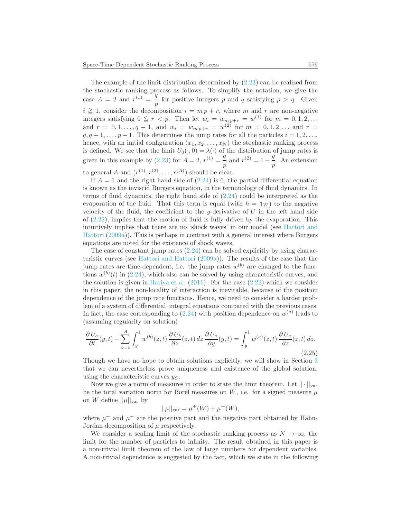The example of the limit distribution determined by  $(2.23)$  can be realized from the stochastic ranking process as follows. To simplify the notation, we give the case  $A = 2$  and  $r^{(1)} = \frac{q}{4}$  $\frac{q}{p}$  for positive integers p and q satisfying  $p > q$ . Given  $i \geq 1$ , consider the decomposition  $i = m p + r$ , where m and r are non-negative integers satisfying  $0 \le r < p$ . Then let  $w_i = w_{m,p+r} = w^{(1)}$  for  $m = 0, 1, 2, ...$ and  $r = 0, 1, ..., q - 1$ , and  $w_i = w_{m p+r} = w^{(2)}$  for  $m = 0, 1, 2, ...$  and  $r =$  $q, q+1, \ldots, p-1$ . This determines the jump rates for all the particles  $i = 1, 2, \ldots$ , hence, with an initial configuration  $(x_1, x_2, \ldots, x_N)$  the stochastic ranking process is defined. We see that the limit  $U_0(\cdot, 0) = \lambda(\cdot)$  of the distribution of jump rates is given in this example by [\(2.23\)](#page-7-1) for  $A = 2$ ,  $r^{(1)} = \frac{q}{r}$  $\frac{q}{p}$  and  $r^{(2)} = 1 - \frac{q}{p}$  $\frac{q}{p}$ . An extension to general A and  $(r^{(1)}, r^{(2)}, \ldots, r^{(A)})$  should be clear.

If  $A = 1$  and the right hand side of  $(2.24)$  is 0, the partial differential equation is known as the inviscid Burgers equation, in the terminology of fluid dynamics. In terms of fluid dynamics, the right hand side of [\(2.24\)](#page-7-2) could be interpreted as the evaporation of the fluid. That this term is equal (with  $h = 1_W$ ) to the negative velocity of the fluid, the coefficient to the y-derivative of  $U$  in the left hand side of [\(2.22\)](#page-7-0), implies that the motion of fluid is fully driven by the evaporation. This intuitiv[ely implies that there are no 'shock waves' in our model \(see](#page-35-1) Hattori and Hattori [\(2009a\)](#page-35-1)). This is perhaps in contrast with a general interest where Burgers equations are noted for the existence of shock waves.

The case of constant jump rates [\(2.24\)](#page-7-2) can be solved explicitly by using characteristic curves (see [Hattori and Hattori](#page-35-1) [\(2009a\)](#page-35-1)). The results of the case that the jump rates are time-dependent, i.e. the jump rates  $w^{(b)}$  are changed to the functions  $w^{(b)}(t)$  in [\(2.24\)](#page-7-2), which also can be solved by using characteristic curves, and the solution is given in [Hariya et al.](#page-35-5)  $(2011)$ . For the case  $(2.22)$  which we consider in this paper, the non-locality of interaction is inevitable, because of the position dependence of the jump rate functions. Hence, we need to consider a harder problem of a system of differential–integral equations compared with the previous cases. In fact, the case corresponding to  $(2.24)$  with position dependence on  $w^{(a)}$  leads to (assuming regularity on solution)

$$
\frac{\partial U_a}{\partial t}(y,t) - \sum_{b=1}^A \int_y^1 w^{(b)}(z,t) \frac{\partial U_b}{\partial z}(z,t) dz \frac{\partial U_a}{\partial y}(y,t) = \int_y^1 w^{(a)}(z,t) \frac{\partial U_a}{\partial z}(z,t) dz.
$$
\n(2.25)

Though we have no hope to obtain solutions explicitly, we will show in Section [3](#page-10-0) that we can nevertheless prove uniqueness and existence of the global solution, using the characteristic curves  $y_C$ .

Now we give a norm of measures in order to state the limit theorem. Let  $|| \cdot ||_{var}$ be the total variation norm for Borel measures on  $W$ , i.e. for a signed measure  $\mu$ on W define  $||\mu||_{var}$  by

$$
||\mu||_{var} = \mu^+(W) + \mu^-(W),
$$

where  $\mu^+$  and  $\mu^-$  are the positive part and the negative part obtained by Hahn-Jordan decomposition of  $\mu$  respectively.

We consider a scaling limit of the stochastic ranking process as  $N \to \infty$ , the limit for the number of particles to infinity. The result obtained in this paper is a non-trivial limit theorem of the law of large numbers for dependent variables. A non-trivial dependence is suggested by the fact, which we state in the following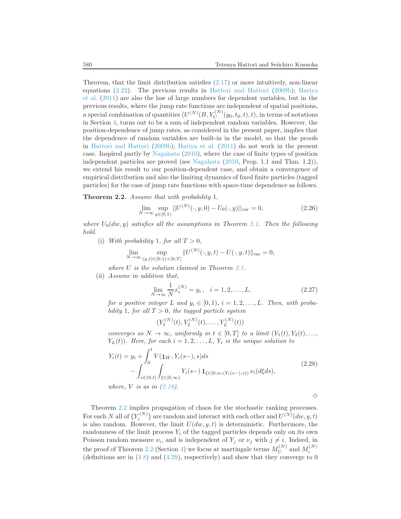Theorem, that the limit distribution satisfies  $(2.17)$  or more intuitively, non-linear equa[tions](#page-35-5) [\(2.22\)](#page-7-0)[. The previous results in](#page-35-5) [Hattori and Hattori](#page-35-6) [\(2009b\)](#page-35-6); Hariya et al. [\(2011\)](#page-35-5) are also the law of large numbers for dependent variables, but in the previous results, where the jump rate functions are independent of spatial positions, a special combination of quantities  $(U^{(N)}(B, Y_C^{(N)}(y_0, t_0, t), t)$ , in terms of notations in Section [4,](#page-21-0) turns out to be a sum of independent random variables. However, the position-dependence of jump rates, as considered in the present paper, implies that the dependence of random variables are built-in in the model, so that the proofs in [Hattori and Hattori](#page-35-6) [\(2009b](#page-35-6)); [Hariya et al.](#page-35-5) [\(2011\)](#page-35-5) do not work in the present case. Inspired partly by [Nagahata](#page-36-0) [\(2010\)](#page-36-0), where the case of finite types of position independent particles are proved (see [Nagahata](#page-36-0) [\(2010,](#page-36-0) Prop. 1.1 and Thm. 1.2)), we extend his result to our position-dependent case, and obtain a convergence of empirical distribution and also the limiting dynamics of fixed finite particles (tagged particles) for the case of jump rate functions with space-time dependence as follows.

<span id="page-9-0"></span>Theorem 2.2. Assume that with probability 1,

<span id="page-9-2"></span>
$$
\lim_{N \to \infty} \sup_{y \in [0,1)} ||U^{(N)}(\cdot, y, 0) - U_0(\cdot, y)||_{\text{var}} = 0,
$$
\n(2.26)

where  $U_0(dw, y)$  satisfies all the assumptions in Theorem [2.1.](#page-6-1) Then the following hold.

(i) With probability 1, for all  $T > 0$ ,

$$
\lim_{N \to \infty} \sup_{(y,t) \in [0,1) \times [0,T]} \| U^{(N)}(\cdot, y, t) - U(\cdot, y, t) \|_{\text{var}} = 0,
$$

where U is the solution claimed in Theorem [2.1.](#page-6-1)

(ii) Assume in addition that,

<span id="page-9-3"></span>
$$
\lim_{N \to \infty} \frac{1}{N} x_i^{(N)} = y_i, \quad i = 1, 2, \dots, L,
$$
\n(2.27)

for a positive integer L and  $y_i \in [0,1)$ ,  $i = 1, 2, \ldots, L$ . Then, with probability 1, for all  $T > 0$ , the tagged particle system

$$
(Y_1^{(N)}(t), Y_2^{(N)}(t), \dots, Y_L^{(N)}(t))
$$

converges as  $N \to \infty$ , uniformly in  $t \in [0,T]$  to a limit  $(Y_1(t), Y_2(t), \ldots,$  $Y_L(t)$ ). Here, for each  $i = 1, 2, \ldots, L$ ,  $Y_i$  is the unique solution to

<span id="page-9-1"></span>
$$
Y_i(t) = y_i + \int_0^t V(\mathbf{1}_W, Y_i(s-), s)ds
$$
  
 
$$
- \int_{s \in (0,t]} \int_{\xi \in [0,\infty)} Y_i(s-) \mathbf{1}_{\xi \in [0,w_i(Y_i(s-),s))} \nu_i(d\xi ds),
$$
  
where, V is as in (2.18).

 $\Diamond$ 

Theorem [2.2](#page-9-0) implies propagation of chaos for the stochastic ranking processes. For each N all of  $\{Y_i^{(N)}\}$  are random and interact with each other and  $U^{(N)}(dw, y, t)$ is also random. However, the limit  $U(dw, y, t)$  is deterministic. Furthermore, the randomness of the limit process  $Y_i$  of the tagged particles depends only on its own Poisson random measure  $\nu_i$ , and is independent of  $Y_j$  or  $\nu_j$  with  $j \neq i$ . Indeed, in the proof of Theorem [2.2](#page-9-0) (Section [4\)](#page-21-0) we focus at martingale terms  $M_U^{(N)}$  $U^{(N)}$  and  $M_i^{(N)}$ (definitions are in  $(4.8)$  and  $(4.29)$ , respectively) and show that they converge to 0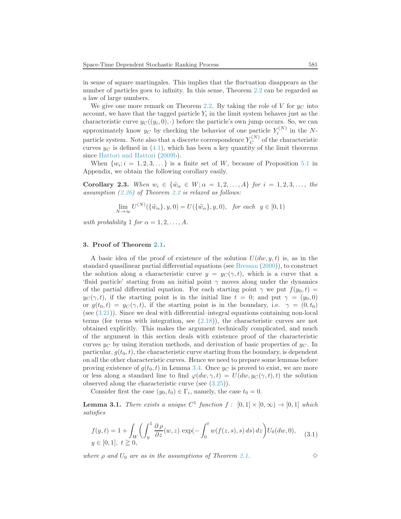in sense of square martingales. This implies that the fluctuation disappears as the number of particles goes to infinity. In this sense, Theorem [2.2](#page-9-0) can be regarded as a law of large numbers.

We give one more remark on Theorem [2.2.](#page-9-0) By taking the role of V for  $y_C$  into account, we have that the tagged particle  $Y_i$  in the limit system behaves just as the characteristic curve  $y_C((y_i,0),\cdot)$  before the particle's own jump occurs. So, we can approximately know  $y_C$  by checking the behavior of one particle  $Y_i^{(N)}$  in the Nparticle system. Note also that a discrete correspondence  $Y_C^{(N)}$  $C^{(N)}$  of the characteristic curves  $y_C$  is defined in [\(4.1\)](#page-21-1), which has been a key quantity of the limit theorems since [Hattori and Hattori](#page-35-6) [\(2009b](#page-35-6)).

When  $\{w_i; i = 1, 2, 3, \dots\}$  is a finite set of W, because of Proposition [5.1](#page-34-3) in Appendix, we obtain the following corollary easily.

Corollary 2.3. When  $w_i \in {\tilde{w}_\alpha \in W; \alpha = 1, 2, ..., A}$  for  $i = 1, 2, 3, ...,$  the assumption  $(2.26)$  $(2.26)$  $(2.26)$  of Theorem 2.2 is relaxed as follows:

$$
\lim_{N \to \infty} U^{(N)}(\{\tilde{w}_{\alpha}\}, y, 0) = U(\{\tilde{w}_{\alpha}\}, y, 0), \text{ for each } y \in [0, 1)
$$

with probability 1 for  $\alpha = 1, 2, \ldots, A$ .

### <span id="page-10-0"></span>3. Proof of Theorem [2.1.](#page-6-1)

A basic idea of the proof of existence of the solution  $U(dw, y, t)$  is, as in the standard quasilinear partial differential equations (see [Bressan](#page-35-17) [\(2000](#page-35-17))), to construct the solution along a characteristic curve  $y = y_C(\gamma, t)$ , which is a curve that a 'fluid particle' starting from an initial point  $\gamma$  moves along under the dynamics of the partial differential equation. For each starting point  $\gamma$  we put  $f(y_0, t) =$  $y_C(\gamma, t)$ , if the starting point is in the initial line  $t = 0$ ; and put  $\gamma = (y_0, 0)$ or  $g(t_0, t) = y_C(\gamma, t)$ , if the starting point is in the boundary, i.e.  $\gamma = (0, t_0)$ (see [\(3.21\)](#page-16-0)). Since we deal with differential–integral equations containing non-local terms (for terms with integration, see [\(2.18\)](#page-6-0)), the characteristic curves are not obtained explicitly. This makes the argument technically complicated, and much of the argument in this section deals with existence proof of the characteristic curves  $y_C$  by using iteration methods, and derivation of basic properties of  $y_C$ . In particular,  $g(t_0, t)$ , the characteristic curve starting from the boundary, is dependent on all the other characteristic curves. Hence we need to prepare some lemmas before proving existence of  $g(t_0, t)$  in Lemma [3.4.](#page-14-0) Once  $y_C$  is proved to exist, we are more or less along a standard line to find  $\varphi(dw, \gamma, t) = U(dw, y_C(\gamma, t), t)$  the solution observed along the characteristic curve (see [\(3.25\)](#page-17-0)).

Consider first the case  $(y_0, t_0) \in \Gamma_i$ , namely, the case  $t_0 = 0$ .

<span id="page-10-2"></span>**Lemma 3.1.** There exists a unique  $C^1$  function  $f : [0,1] \times [0,\infty) \rightarrow [0,1]$  which satisfies

<span id="page-10-1"></span>
$$
f(y,t) = 1 + \int_W \left( \int_y^1 \frac{\partial \rho}{\partial z}(w,z) \exp\left(-\int_0^t w(f(z,s),s) ds\right) dz \right) U_0(dw,0), \quad (3.1)
$$
  

$$
y \in [0,1], \ t \ge 0,
$$

where  $\rho$  and  $U_0$  are as in the assumptions of Theorem [2.1.](#page-6-1)  $\diamond$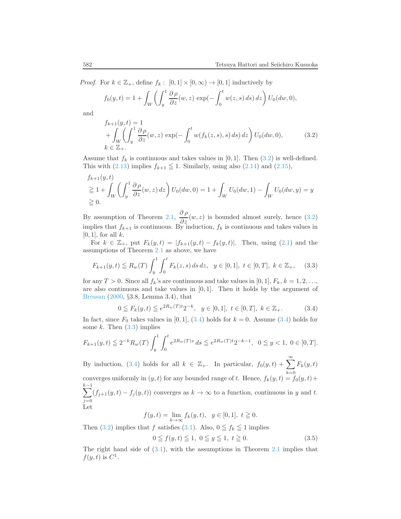*Proof.* For  $k \in \mathbb{Z}_+$ , define  $f_k : [0,1] \times [0,\infty) \to [0,1]$  inductively by

$$
f_0(y,t) = 1 + \int_W \left( \int_y^1 \frac{\partial \rho}{\partial z}(w, z) \exp(-\int_0^t w(z, s) ds) dz \right) U_0(dw, 0),
$$

and

<span id="page-11-0"></span>
$$
f_{k+1}(y,t) = 1
$$
  
+ 
$$
\int_W \left( \int_y^1 \frac{\partial \rho}{\partial z}(w,z) \exp(-\int_0^t w(f_k(z,s),s) ds) dz \right) U_0(dw,0),
$$
 (3.2)  

$$
k \in \mathbb{Z}_+.
$$

Assume that  $f_k$  is continuous and takes values in [0, 1]. Then [\(3.2\)](#page-11-0) is well-defined. This with [\(2.13\)](#page-6-6) implies  $f_{k+1} \leq 1$ . Similarly, using also [\(2.14\)](#page-6-7) and [\(2.15\)](#page-6-8),

$$
f_{k+1}(y,t)
$$
  
\n
$$
\geq 1 + \int_W \left( \int_y^1 \frac{\partial \rho}{\partial z}(w,z) dz \right) U_0(dw,0) = 1 + \int_W U_0(dw,1) - \int_W U_0(dw,y) = y
$$
  
\n
$$
\geq 0.
$$

By assumption of Theorem [2.1,](#page-6-1)  $\frac{\partial \rho}{\partial z}(w, z)$  is bounded almost surely, hence [\(3.2\)](#page-11-0) implies that  $f_{k+1}$  is continuous. By induction,  $f_k$  is continuous and takes values in  $[0, 1]$ , for all k.

For  $k \in \mathbb{Z}_+$ , put  $F_k(y,t) = |f_{k+1}(y,t) - f_k(y,t)|$ . Then, using  $(2.1)$  and the assumptions of Theorem [2.1](#page-6-1) as above, we have

<span id="page-11-2"></span>
$$
F_{k+1}(y,t) \leq R_w(T) \int_y^1 \int_0^t F_k(z,s) \, ds \, dz, \ \ y \in [0,1], \ t \in [0,T], \ k \in \mathbb{Z}_+, \tag{3.3}
$$

for any  $T > 0$ . Since all  $f_k$ 's are continuous and take values in [0, 1],  $F_k$ ,  $k = 1, 2, \ldots$ , are also continuous and take values in  $[0, 1]$ . Then it holds by the argument of [Bressan](#page-35-17) [\(2000,](#page-35-17) §3.8, Lemma 3.4), that

<span id="page-11-1"></span>
$$
0 \leq F_k(y, t) \leq e^{2R_w(T)t} 2^{-k}, \quad y \in [0, 1], \ t \in [0, T], \ k \in \mathbb{Z}_+.
$$
 (3.4)

In fact, since  $F_0$  takes values in [0, 1], [\(3.4\)](#page-11-1) holds for  $k = 0$ . Assume (3.4) holds for some  $k$ . Then  $(3.3)$  implies

$$
F_{k+1}(y,t) \le 2^{-k} R_w(T) \int_y^1 \int_0^t e^{2R_w(T)s} ds \le e^{2R_w(T)t} 2^{-k-1}, \ \ 0 \le y < 1, \ 0 \in [0,T].
$$

By induction, [\(3.4\)](#page-11-1) holds for all  $k \in \mathbb{Z}_+$ . In particular,  $f_0(y,t) + \sum_{k=0}^{\infty} F_k(y,t)$ converges uniformly in  $(y, t)$  for any bounded range of t. Hence,  $f_k(y, t) = f_0(y, t) +$  $\sum$  $k-1$  $j=0$  $(f_{j+1}(y, t) - f_j(y, t))$  converges as  $k \to \infty$  to a function, continuous in y and t. Let

$$
f(y,t) = \lim_{k \to \infty} f_k(y,t), \ \ y \in [0,1], \ t \ge 0.
$$

Then [\(3.2\)](#page-11-0) implies that f satisfies [\(3.1\)](#page-10-1). Also,  $0 \leq f_k \leq 1$  implies

$$
0 \le f(y, t) \le 1, \ 0 \le y \le 1, \ t \ge 0. \tag{3.5}
$$

The right hand side of  $(3.1)$ , with the assumptions in Theorem [2.1](#page-6-1) implies that  $f(y, t)$  is  $C^1$ .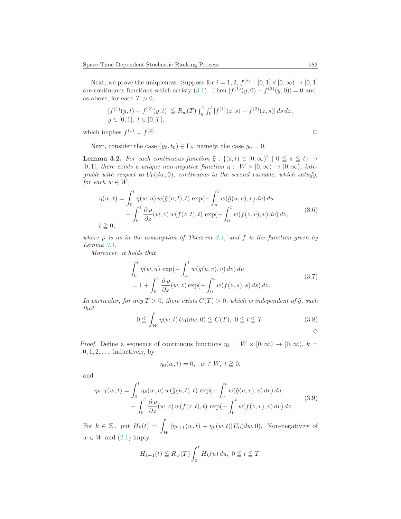Next, we prove the uniqueness. Suppose for  $i = 1, 2, f^{(i)} : [0, 1] \times [0, \infty) \to [0, 1]$ are continuous functions which satisfy [\(3.1\)](#page-10-1). Then  $|f^{(1)}(y,0) - f^{(2)}(y,0)| = 0$  and, as above, for each  $T > 0$ ,

$$
|f^{(1)}(y,t) - f^{(2)}(y,t)| \leq R_w(T) \int_y^1 \int_0^t |f^{(1)}(z,s) - f^{(2)}(z,s)| ds dz,
$$
  
  $y \in [0,1], t \in [0,T],$ 

which implies  $f^{(1)} = f^{(2)}$ . ✷

Next, consider the case  $(y_0, t_0) \in \Gamma_b$ , namely, the case  $y_0 = 0$ .

<span id="page-12-3"></span>**Lemma 3.2.** For each continuous function  $\tilde{g} : \{(s,t) \in [0,\infty)^2 \mid 0 \leq s \leq t\} \rightarrow$ [0, 1], there exists a unique non-negative function  $\eta : W \times [0, \infty) \to [0, \infty)$ , integrable with respect to  $U_0(dw, 0)$ , continuous in the second variable, which satisfy, for each  $w \in W$ ,

<span id="page-12-0"></span>
$$
\eta(w,t) = \int_0^t \eta(w,u) w(\tilde{g}(u,t),t) \exp(-\int_u^t w(\tilde{g}(u,v),v) dv) du \n- \int_0^1 \frac{\partial \rho}{\partial z}(w,z) w(f(z,t),t) \exp(-\int_0^t w(f(z,v),v) dv) dz,
$$
\n(3.6)

where  $\rho$  is as in the assumption of Theorem [2.1,](#page-6-1) and f is the function given by Lemma [3.1.](#page-10-2)

Moreover, it holds that

<span id="page-12-2"></span>
$$
\int_0^t \eta(w, u) \exp\left(-\int_u^t w(\tilde{g}(u, v), v) dv\right) du
$$
\n
$$
= 1 + \int_0^1 \frac{\partial \rho}{\partial z}(w, z) \exp\left(-\int_0^t w(f(z, s), s) ds\right) dz.
$$
\n(3.7)

In particular, for any  $T > 0$ , there exists  $C(T) > 0$ , which is independent of  $\tilde{g}$ , such that

<span id="page-12-4"></span>
$$
0 \leqq \int_W \eta(w, t) U_0(dw, 0) \leqq C(T), \ 0 \leqq t \leqq T. \tag{3.8}
$$

*Proof.* Define a sequence of continuous functions  $\eta_k : W \times [0, \infty) \to [0, \infty)$ ,  $k =$  $0, 1, 2, \ldots$ , inductively, by

$$
\eta_0(w,t) = 0, \quad w \in W, \ t \ge 0,
$$

and

<span id="page-12-1"></span>
$$
\eta_{k+1}(w,t) = \int_0^t \eta_k(w,u) w(\tilde{g}(u,t),t) \exp(-\int_u^t w(\tilde{g}(u,v),v) dv) du \n- \int_0^1 \frac{\partial \rho}{\partial z}(w,z) w(f(z,t),t) \exp(-\int_0^t w(f(z,v),v) dv) dz.
$$
\n(3.9)

For  $k \in \mathbb{Z}_+$  put  $H_k(t) = \int_W |\eta_{k+1}(w, t) - \eta_k(w, t)| U_0(dw, 0)$ . Non-negativity of  $w \in W$  and  $(2.1)$  imply

$$
H_{k+1}(t) \leq R_w(T) \int_0^t H_k(u) du, 0 \leq t \leq T.
$$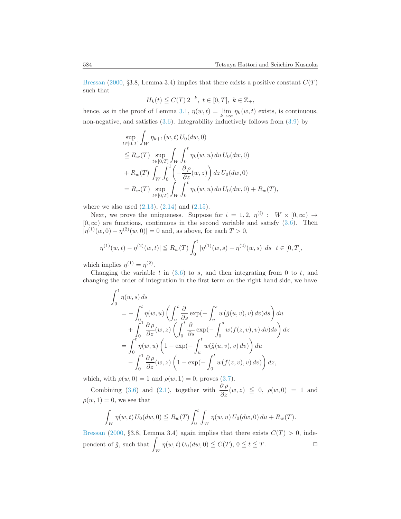[Bressan](#page-35-17) [\(2000](#page-35-17), §3.8, Lemma 3.4) implies that there exists a positive constant  $C(T)$ such that

$$
H_k(t) \leqq C(T) 2^{-k}, \ t \in [0, T], \ k \in \mathbb{Z}_+,
$$

hence, as in the proof of Lemma [3.1,](#page-10-2)  $\eta(w,t) = \lim_{k \to \infty} \eta_k(w,t)$  exists, is continuous, non-negative, and satisfies [\(3.6\)](#page-12-0). Integrability inductively follows from [\(3.9\)](#page-12-1) by

$$
\sup_{t \in [0,T]} \int_W \eta_{k+1}(w,t) U_0(dw,0) \n\leq R_w(T) \sup_{t \in [0,T]} \int_W \int_0^t \eta_k(w,u) du U_0(dw,0) \n+ R_w(T) \int_W \int_0^1 \left(-\frac{\partial \rho}{\partial z}(w,z)\right) dz U_0(dw,0) \n= R_w(T) \sup_{t \in [0,T]} \int_W \int_0^t \eta_k(w,u) du U_0(dw,0) + R_w(T),
$$

where we also used  $(2.13)$ ,  $(2.14)$  and  $(2.15)$ .

Next, we prove the uniqueness. Suppose for  $i = 1, 2, \eta^{(i)} : W \times [0, \infty) \rightarrow$  $[0, \infty)$  are functions, continuous in the second variable and satisfy  $(3.6)$ . Then  $|\eta^{(1)}(w,0)-\eta^{(2)}(w,0)|=0$  and, as above, for each  $T>0$ ,

$$
|\eta^{(1)}(w,t) - \eta^{(2)}(w,t)| \leq R_w(T) \int_0^t |\eta^{(1)}(w,s) - \eta^{(2)}(w,s)| ds \quad t \in [0,T],
$$

which implies  $\eta^{(1)} = \eta^{(2)}$ .

Changing the variable  $t$  in  $(3.6)$  to  $s$ , and then integrating from 0 to  $t$ , and changing the order of integration in the first term on the right hand side, we have

$$
\int_0^t \eta(w, s) ds
$$
  
=  $-\int_0^t \eta(w, u) \left( \int_u^t \frac{\partial}{\partial s} \exp(-\int_u^s w(\tilde{g}(u, v), v) dv) ds \right) du$   
+  $\int_0^1 \frac{\partial \rho}{\partial z}(w, z) \left( \int_0^t \frac{\partial}{\partial s} \exp(-\int_0^s w(f(z, v), v) dv) ds \right) dz$   
=  $\int_0^t \eta(w, u) \left( 1 - \exp(-\int_u^t w(\tilde{g}(u, v), v) dv) \right) du$   
-  $\int_0^1 \frac{\partial \rho}{\partial z}(w, z) \left( 1 - \exp(-\int_0^t w(f(z, v), v) dv) \right) dz,$ 

which, with  $\rho(w, 0) = 1$  and  $\rho(w, 1) = 0$ , proves [\(3.7\)](#page-12-2).

Combining [\(3.6\)](#page-12-0) and [\(2.1\)](#page-4-2), together with  $\frac{\partial \rho}{\partial z}(w, z) \leq 0$ ,  $\rho(w, 0) = 1$  and  $\rho(w, 1) = 0$ , we see that

$$
\int_W \eta(w, t) U_0(dw, 0) \leq R_w(T) \int_0^t \int_W \eta(w, u) U_0(dw, 0) du + R_w(T).
$$

[Bressan](#page-35-17) [\(2000](#page-35-17), §3.8, Lemma 3.4) again implies that there exists  $C(T) > 0$ , independent of  $\tilde{g}$ , such that  $\bigvee_{W} \eta(w,t) U_0(dw,0) \leqq C(T), 0 \leqq t \leqq T.$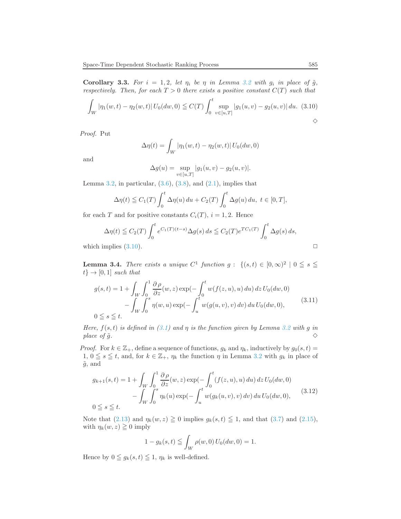<span id="page-14-3"></span>**Corollary 3.3.** For  $i = 1, 2$ , let  $\eta_i$  be  $\eta$  in Lemma [3.2](#page-12-3) with  $g_i$  in place of  $\tilde{g}$ , respectively. Then, for each  $T > 0$  there exists a positive constant  $C(T)$  such that

<span id="page-14-1"></span>
$$
\int_{W} |\eta_1(w,t) - \eta_2(w,t)| U_0(dw,0) \leq C(T) \int_0^t \sup_{v \in [u,T]} |g_1(u,v) - g_2(u,v)| du. (3.10)
$$

Proof. Put

$$
\Delta \eta(t) = \int_W |\eta_1(w, t) - \eta_2(w, t)| U_0(dw, 0)
$$

and

$$
\Delta g(u) = \sup_{v \in [u,T]} |g_1(u,v) - g_2(u,v)|.
$$

Lemma [3.2,](#page-12-3) in particular,  $(3.6)$ ,  $(3.8)$ , and  $(2.1)$ , implies that

$$
\Delta \eta(t) \leq C_1(T) \int_0^t \Delta \eta(u) du + C_2(T) \int_0^t \Delta g(u) du, \ t \in [0, T],
$$

for each T and for positive constants  $C_i(T)$ ,  $i = 1, 2$ . Hence

$$
\Delta \eta(t) \leq C_2(T) \int_0^t e^{C_1(T)(t-s)} \Delta g(s) ds \leq C_2(T) e^{TC_1(T)} \int_0^t \Delta g(s) ds,
$$
  
which implies (3.10).

<span id="page-14-0"></span>**Lemma 3.4.** There exists a unique  $C^1$  function  $g: \{(s,t) \in [0,\infty)^2 \mid 0 \leq s \leq t\}$  $t\} \rightarrow [0,1]$  such that

<span id="page-14-4"></span>
$$
g(s,t) = 1 + \int_{W} \int_{0}^{1} \frac{\partial \rho}{\partial z}(w, z) \exp(-\int_{0}^{t} w(f(z, u), u) du) dz U_{0}(dw, 0)
$$
  
- 
$$
\int_{W} \int_{0}^{s} \eta(w, u) \exp(-\int_{u}^{t} w(g(u, v), v) dv) du U_{0}(dw, 0),
$$
(3.11)

Here,  $f(s,t)$  is defined in [\(3.1\)](#page-10-1) and  $\eta$  is the function given by Lemma [3.2](#page-12-3) with g in place of  $\tilde{g}$ .  $\diamondsuit$ 

*Proof.* For  $k \in \mathbb{Z}_+$ , define a sequence of functions,  $g_k$  and  $\eta_k$ , inductively by  $g_0(s, t) =$  $1, 0 \le s \le t$ , and, for  $k \in \mathbb{Z}_+$ ,  $\eta_k$  the function  $\eta$  in Lemma [3.2](#page-12-3) with  $g_k$  in place of  $\tilde{g}$ , and

<span id="page-14-2"></span>
$$
g_{k+1}(s,t) = 1 + \int_{W} \int_{0}^{1} \frac{\partial \rho}{\partial z}(w, z) \exp(-\int_{0}^{t} (f(z, u), u) du) dz U_{0}(dw, 0)
$$
  
- 
$$
\int_{W} \int_{0}^{s} \eta_{k}(u) \exp(-\int_{u}^{t} w(g_{k}(u, v), v) dv) du U_{0}(dw, 0),
$$
(3.12)  
0  $\leq s \leq t$ .

Note that [\(2.13\)](#page-6-6) and  $\eta_k(w, z) \ge 0$  implies  $g_k(s, t) \le 1$ , and that [\(3.7\)](#page-12-2) and [\(2.15\)](#page-6-8), with  $\eta_k(w, z) \geq 0$  imply

$$
1 - g_k(s, t) \leqq \int_W \rho(w, 0) U_0(dw, 0) = 1.
$$

Hence by  $0 \leq g_k(s,t) \leq 1$ ,  $\eta_k$  is well-defined.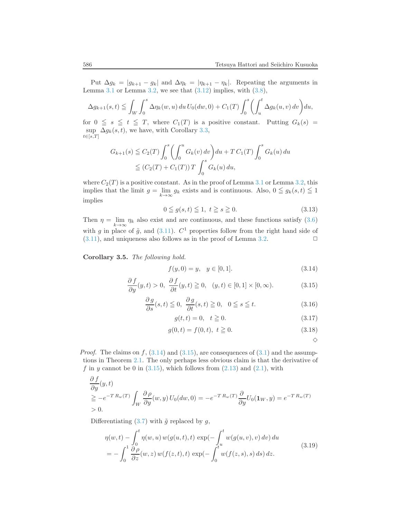Put  $\Delta g_k = |g_{k+1} - g_k|$  and  $\Delta \eta_k = |\eta_{k+1} - \eta_k|$ . Repeating the arguments in Lemma [3.1](#page-10-2) or Lemma [3.2,](#page-12-3) we see that  $(3.12)$  implies, with  $(3.8)$ ,

$$
\Delta g_{k+1}(s,t) \leqq \int_W \int_0^s \Delta \eta_k(w,u) du U_0(dw,0) + C_1(T) \int_0^s \left( \int_u^t \Delta g_k(u,v) dv \right) du,
$$

for  $0 \leq s \leq t \leq T$ , where  $C_1(T)$  is a positive constant. Putting  $G_k(s)$  = sup  $\Delta g_k(s,t)$ , we have, with Corollary [3.3,](#page-14-3)  $t\in$ [s,T]

$$
G_{k+1}(s) \leq C_2(T) \int_0^s \left( \int_0^u G_k(v) dv \right) du + T C_1(T) \int_0^s G_k(u) du
$$
  
 
$$
\leq (C_2(T) + C_1(T)) T \int_0^s G_k(u) du,
$$

where  $C_2(T)$  is a positive constant. As in the proof of Lemma [3.1](#page-10-2) or Lemma [3.2,](#page-12-3) this implies that the limit  $g = \lim_{k \to \infty} g_k$  exists and is continuous. Also,  $0 \leq g_k(s,t) \leq 1$ implies

$$
0 \leqq g(s, t) \leqq 1, \ t \geqq s \geqq 0. \tag{3.13}
$$

Then  $\eta = \lim_{k \to \infty} \eta_k$  also exist and are continuous, and these functions satisfy [\(3.6\)](#page-12-0) with g in place of  $\tilde{g}$ , and  $(3.11)$ .  $C^1$  properties follow from the right hand side of  $(3.11)$ , and uniqueness also follows as in the proof of Lemma [3.2.](#page-12-3)  $\Box$ 

Corollary 3.5. The following hold.

<span id="page-15-0"></span>
$$
f(y,0) = y, \quad y \in [0,1].
$$
\n(3.14)

<span id="page-15-1"></span>
$$
\frac{\partial f}{\partial y}(y,t) > 0, \ \frac{\partial f}{\partial t}(y,t) \ge 0, \ \ (y,t) \in [0,1] \times [0,\infty). \tag{3.15}
$$

<span id="page-15-5"></span>
$$
\frac{\partial g}{\partial s}(s,t) \leqq 0, \ \frac{\partial g}{\partial t}(s,t) \geqq 0, \ 0 \leqq s \leqq t. \tag{3.16}
$$

<span id="page-15-3"></span>
$$
g(t, t) = 0, \quad t \ge 0. \tag{3.17}
$$

<span id="page-15-4"></span>
$$
g(0,t) = f(0,t), \ t \ge 0. \tag{3.18}
$$

 $\Diamond$ 

*Proof.* The claims on  $f$ ,  $(3.14)$  and  $(3.15)$ , are consequences of  $(3.1)$  and the assumptions in Theorem [2.1.](#page-6-1) The only perhaps less obvious claim is that the derivative of f in y cannot be 0 in  $(3.15)$ , which follows from  $(2.13)$  and  $(2.1)$ , with

$$
\frac{\partial f}{\partial y}(y,t) \ge -e^{-T R_w(T)} \int_W \frac{\partial \rho}{\partial y}(w,y) U_0(dw,0) = -e^{-T R_w(T)} \frac{\partial}{\partial y} U_0(\mathbf{1}_W, y) = e^{-T R_w(T)} > 0.
$$

Differentiating  $(3.7)$  with  $\tilde{g}$  replaced by g,

<span id="page-15-2"></span>
$$
\eta(w,t) - \int_0^t \eta(w,u) w(g(u,t),t) \exp(-\int_u^t w(g(u,v),v) dv) du \n= -\int_0^1 \frac{\partial \rho}{\partial z}(w,z) w(f(z,t),t) \exp(-\int_0^t w(f(z,s),s) ds) dz.
$$
\n(3.19)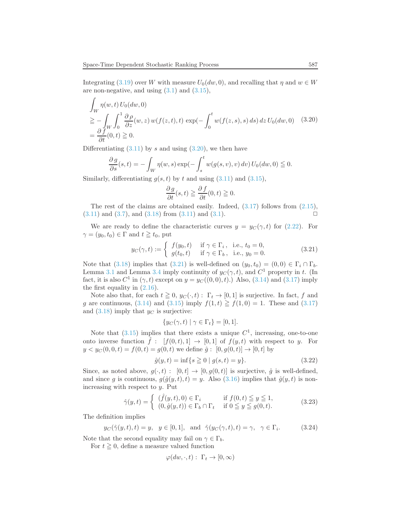Integrating [\(3.19\)](#page-15-2) over W with measure  $U_0(dw, 0)$ , and recalling that  $\eta$  and  $w \in W$ are non-negative, and using  $(3.1)$  and  $(3.15)$ ,

<span id="page-16-1"></span>
$$
\int_{W} \eta(w,t) U_0(dw,0)
$$
\n
$$
\geq -\int_{W} \int_0^1 \frac{\partial \rho}{\partial z}(w,z) w(f(z,t),t) \exp(-\int_0^t w(f(z,s),s) ds) dz U_0(dw,0) \quad (3.20)
$$
\n
$$
= \frac{\partial f}{\partial t}(0,t) \geq 0.
$$

Differentiating  $(3.11)$  by s and using  $(3.20)$ , we then have

$$
\frac{\partial g}{\partial s}(s,t) = -\int_W \eta(w,s) \exp(-\int_s^t w(g(s,v),v) dv) U_0(dw,0) \leq 0.
$$

Similarly, differentiating  $g(s, t)$  by t and using  $(3.11)$  and  $(3.15)$ ,

$$
\frac{\partial g}{\partial t}(s,t) \geqq \frac{\partial f}{\partial t}(0,t) \geqq 0.
$$

The rest of the claims are obtained easily. Indeed,  $(3.17)$  follows from  $(2.15)$ ,  $(3.11)$  and  $(3.7)$ , and  $(3.18)$  from  $(3.11)$  and  $(3.1)$ .

We are ready to define the characteristic curves  $y = y_C(\gamma, t)$  for [\(2.22\)](#page-7-0). For  $\gamma = (y_0, t_0) \in \Gamma$  and  $t \geq t_0$ , put

<span id="page-16-0"></span>
$$
y_C(\gamma, t) := \begin{cases} f(y_0, t) & \text{if } \gamma \in \Gamma_i, \text{ i.e., } t_0 = 0, \\ g(t_0, t) & \text{if } \gamma \in \Gamma_b, \text{ i.e., } y_0 = 0. \end{cases}
$$
(3.21)

Note that [\(3.18\)](#page-15-4) implies that [\(3.21\)](#page-16-0) is well-defined on  $(y_0, t_0) = (0, 0) \in \Gamma_i \cap \Gamma_b$ . Lemma [3.1](#page-10-2) and Lemma [3.4](#page-14-0) imply continuity of  $y_C(\gamma, t)$ , and  $C^1$  property in t. (In fact, it is also  $C^1$  in  $(\gamma, t)$  except on  $y = y_C((0, 0), t)$ .) Also,  $(3.14)$  and  $(3.17)$  imply the first equality in [\(2.16\)](#page-6-2).

Note also that, for each  $t \geq 0$ ,  $y_C(\cdot, t)$ :  $\Gamma_t \to [0, 1]$  is surjective. In fact, f and g are continuous, [\(3.14\)](#page-15-0) and [\(3.15\)](#page-15-1) imply  $f(1,t) \ge f(1,0) = 1$ . These and [\(3.17\)](#page-15-3) and  $(3.18)$  imply that  $y_C$  is surjective:

$$
\{y_C(\gamma, t) \mid \gamma \in \Gamma_t\} = [0, 1].
$$

Note that  $(3.15)$  implies that there exists a unique  $C<sup>1</sup>$ , increasing, one-to-one onto inverse function  $\hat{f}$ :  $[f(0, t), 1] \rightarrow [0, 1]$  of  $f(y, t)$  with respect to y. For  $y < y_C(0, 0, t) = f(0, t) = g(0, t)$  we define  $\hat{g} : [0, g(0, t)] \rightarrow [0, t]$  by

<span id="page-16-4"></span>
$$
\hat{g}(y,t) = \inf\{s \ge 0 \mid g(s,t) = y\}.
$$
\n(3.22)

Since, as noted above,  $g(\cdot, t) : [0, t] \to [0, g(0, t)]$  is surjective,  $\hat{g}$  is well-defined, and since g is continuous,  $g(\hat{q}(y, t), t) = y$ . Also [\(3.16\)](#page-15-5) implies that  $\hat{q}(y, t)$  is nonincreasing with respect to y. Put

<span id="page-16-2"></span>
$$
\hat{\gamma}(y,t) = \begin{cases}\n(\hat{f}(y,t),0) \in \Gamma_i & \text{if } f(0,t) \leq y \leq 1, \\
(0,\hat{g}(y,t)) \in \Gamma_b \cap \Gamma_t & \text{if } 0 \leq y \leq g(0,t).\n\end{cases}
$$
\n(3.23)

The definition implies

<span id="page-16-3"></span>
$$
y_C(\hat{\gamma}(y,t),t) = y, \quad y \in [0,1], \quad \text{and} \quad \hat{\gamma}(y_C(\gamma,t),t) = \gamma, \quad \gamma \in \Gamma_i.
$$
 (3.24)

Note that the second equality may fail on  $\gamma \in \Gamma_b$ .

For  $t \geq 0$ , define a measure valued function

$$
\varphi(dw, \cdot, t): \Gamma_t \to [0, \infty)
$$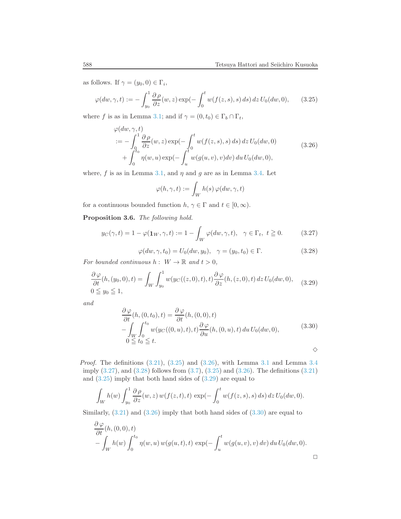as follows. If  $\gamma = (y_0, 0) \in \Gamma_i$ ,

<span id="page-17-0"></span>
$$
\varphi(dw,\gamma,t) := -\int_{y_0}^1 \frac{\partial \rho}{\partial z}(w,z) \exp(-\int_0^t w(f(z,s),s) \, ds) \, dz \, U_0(dw,0), \tag{3.25}
$$

where f is as in Lemma [3.1;](#page-10-2) and if  $\gamma = (0, t_0) \in \Gamma_b \cap \Gamma_t$ ,

<span id="page-17-1"></span>
$$
\varphi(dw, \gamma, t) \n:= -\int_0^1 \frac{\partial \rho}{\partial z}(w, z) \exp(-\int_0^t w(f(z, s), s) ds) dz U_0(dw, 0) \n+ \int_0^{t_0} \eta(w, u) \exp(-\int_u^t w(g(u, v), v) dv) du U_0(dw, 0),
$$
\n(3.26)

where, f is as in Lemma [3.1,](#page-10-2) and  $\eta$  and g are as in Lemma [3.4.](#page-14-0) Let

$$
\varphi(h,\gamma,t):=\int_W h(s)\,\varphi(dw,\gamma,t)
$$

for a continuous bounded function  $h, \gamma \in \Gamma$  and  $t \in [0, \infty)$ .

Proposition 3.6. The following hold.

<span id="page-17-2"></span>
$$
y_C(\gamma, t) = 1 - \varphi(\mathbf{1}_W, \gamma, t) := 1 - \int_W \varphi(dw, \gamma, t), \quad \gamma \in \Gamma_t, \ t \ge 0. \tag{3.27}
$$

<span id="page-17-3"></span>
$$
\varphi(dw, \gamma, t_0) = U_0(dw, y_0), \quad \gamma = (y_0, t_0) \in \Gamma.
$$
\n(3.28)

For bounded continuous  $h: W \to \mathbb{R}$  and  $t > 0$ ,

<span id="page-17-4"></span>
$$
\frac{\partial \varphi}{\partial t}(h,(y_0,0),t) = \int_W \int_{y_0}^1 w(y_C((z,0),t),t) \frac{\partial \varphi}{\partial z}(h,(z,0),t) dz U_0(dw,0),
$$
\n
$$
0 \leqq y_0 \leqq 1,
$$
\n(3.29)

and

<span id="page-17-5"></span>
$$
\frac{\partial \varphi}{\partial t}(h, (0, t_0), t) = \frac{\partial \varphi}{\partial t}(h, (0, 0), t) \n- \int_W \int_0^{t_0} w(y_C((0, u), t), t) \frac{\partial \varphi}{\partial u}(h, (0, u), t) du U_0(dw, 0),
$$
\n
$$
0 \le t_0 \le t.
$$
\n
$$
\diamond
$$

*Proof.* The definitions  $(3.21)$ ,  $(3.25)$  and  $(3.26)$ , with Lemma [3.1](#page-10-2) and Lemma [3.4](#page-14-0) imply [\(3.27\)](#page-17-2), and [\(3.28\)](#page-17-3) follows from [\(3.7\)](#page-12-2), [\(3.25\)](#page-17-0) and [\(3.26\)](#page-17-1). The definitions [\(3.21\)](#page-16-0) and  $(3.25)$  imply that both hand sides of  $(3.29)$  are equal to

$$
\int_W h(w) \int_{y_0}^1 \frac{\partial \rho}{\partial z}(w, z) w(f(z, t), t) \exp(-\int_0^t w(f(z, s), s) ds) dz U_0(dw, 0).
$$

Similarly,  $(3.21)$  and  $(3.26)$  imply that both hand sides of  $(3.30)$  are equal to

$$
\frac{\partial \varphi}{\partial t}(h, (0,0), t)
$$
  
- 
$$
\int_W h(w) \int_0^{t_0} \eta(w, u) w(g(u,t), t) \exp(-\int_u^t w(g(u,v), v) dv) du U_0(dw, 0).
$$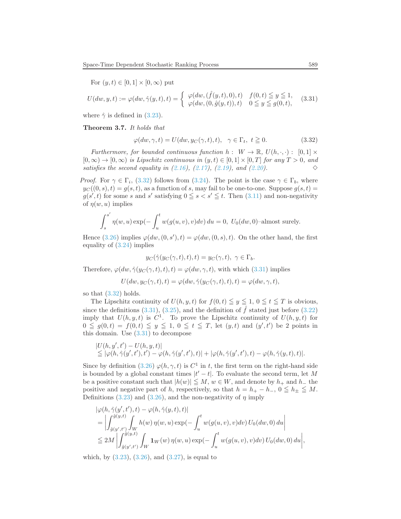For 
$$
(y, t) \in [0, 1] \times [0, \infty)
$$
 put

<span id="page-18-1"></span>
$$
U(dw, y, t) := \varphi(dw, \hat{\gamma}(y, t), t) = \begin{cases} \varphi(dw, (\hat{f}(y, t), 0), t) & f(0, t) \leq y \leq 1, \\ \varphi(dw, (0, \hat{g}(y, t)), t) & 0 \leq y \leq g(0, t), \end{cases}
$$
(3.31)

where  $\hat{\gamma}$  is defined in [\(3.23\)](#page-16-2).

Theorem 3.7. It holds that

<span id="page-18-0"></span>
$$
\varphi(dw, \gamma, t) = U(dw, y_C(\gamma, t), t), \quad \gamma \in \Gamma_t, t \ge 0.
$$
\n(3.32)

Furthermore, for bounded continuous function  $h: W \to \mathbb{R}, U(h, \cdot, \cdot) : [0, 1] \times$  $[0, \infty) \to [0, \infty)$  is Lipschitz continuous in  $(y, t) \in [0, 1] \times [0, T]$  for any  $T > 0$ , and satisfies the second equality in  $(2.16)$ ,  $(2.17)$ ,  $(2.19)$ , and  $(2.20)$ .

*Proof.* For  $\gamma \in \Gamma_i$ , [\(3.32\)](#page-18-0) follows from [\(3.24\)](#page-16-3). The point is the case  $\gamma \in \Gamma_b$ , where  $y_C((0, s), t) = g(s, t)$ , as a function of s, may fail to be one-to-one. Suppose  $g(s, t)$  $g(s',t)$  for some s and s' satisfying  $0 \le s < s' \le t$ . Then  $(3.11)$  and non-negativity of  $\eta(w, u)$  implies

$$
\int_{s}^{s'} \eta(w, u) \exp(-\int_{u}^{t} w(g(u, v), v) dv) du = 0, U_0(dw, 0)
$$
-almost surely.

Hence [\(3.26\)](#page-17-1) implies  $\varphi(dw,(0,s'),t) = \varphi(dw,(0,s),t)$ . On the other hand, the first equality of [\(3.24\)](#page-16-3) implies

$$
y_C(\hat{\gamma}(y_C(\gamma,t),t),t) = y_C(\gamma,t), \ \gamma \in \Gamma_b.
$$

Therefore,  $\varphi(dw, \hat{\gamma}(y_C(\gamma, t), t), t) = \varphi(dw, \gamma, t)$ , with which [\(3.31\)](#page-18-1) implies

$$
U(dw, y_C(\gamma, t), t) = \varphi(dw, \hat{\gamma}(y_C(\gamma, t), t), t) = \varphi(dw, \gamma, t),
$$

so that [\(3.32\)](#page-18-0) holds.

The Lipschitz continuity of  $U(h, y, t)$  for  $f(0, t) \leq y \leq 1$ ,  $0 \leq t \leq T$  is obvious, since the definitions [\(3.31\)](#page-18-1), [\(3.25\)](#page-17-0), and the definition of  $\hat{f}$  stated just before [\(3.22\)](#page-16-4) imply that  $U(h, y, t)$  is  $C^1$ . To prove the Lipschitz continuity of  $U(h, y, t)$  for  $0 \leq g(0,t) = f(0,t) \leq y \leq 1, 0 \leq t \leq T$ , let  $(y,t)$  and  $(y',t')$  be 2 points in this domain. Use [\(3.31\)](#page-18-1) to decompose

$$
|U(h, y', t') - U(h, y, t)|
$$
  
\n
$$
\leq |\varphi(h, \hat{\gamma}(y', t'), t') - \varphi(h, \hat{\gamma}(y', t'), t)| + |\varphi(h, \hat{\gamma}(y', t'), t) - \varphi(h, \hat{\gamma}(y, t), t)|.
$$

Since by definition [\(3.26\)](#page-17-1)  $\varphi(h, \gamma, t)$  is  $C^1$  in t, the first term on the right-hand side is bounded by a global constant times  $|t'-t|$ . To evaluate the second term, let M be a positive constant such that  $|h(w)| \leq M, w \in W$ , and denote by  $h_+$  and  $h_-$  the positive and negative part of h, respectively, so that  $h = h_{+} - h_{-}$ ,  $0 \leq h_{+} \leq M$ . Definitions [\(3.23\)](#page-16-2) and [\(3.26\)](#page-17-1), and the non-negativity of  $\eta$  imply

$$
\begin{split} &|\varphi(h,\hat{\gamma}(y',t'),t)-\varphi(h,\hat{\gamma}(y,t),t)|\\ &=\bigg|\int_{\hat{g}(y',t')}^{\hat{g}(y,t)}\int_{W}h(w)\,\eta(w,u)\exp(-\int_{u}^{t}w(g(u,v),v)dv)\,U_{0}(dw,0)\,du\bigg|\\ &\leq 2M\left|\int_{\hat{g}(y',t')}^{\hat{g}(y,t)}\int_{W}\mathbf{1}_{W}(w)\,\eta(w,u)\exp(-\int_{u}^{t}w(g(u,v),v)dv)\,U_{0}(dw,0)\,du\right|, \end{split}
$$

which, by  $(3.23)$ ,  $(3.26)$ , and  $(3.27)$ , is equal to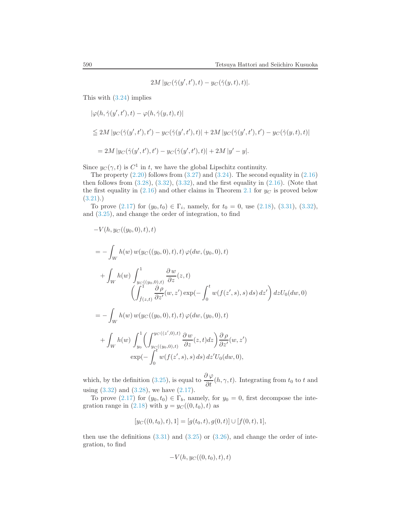$2M |y_C(\hat{\gamma}(y',t'),t) - y_C(\hat{\gamma}(y,t),t)|.$ 

This with [\(3.24\)](#page-16-3) implies

$$
\begin{array}{l} \displaystyle |\varphi(h,\hat{\gamma}(y',t'),t)-\varphi(h,\hat{\gamma}(y,t),t)|\\\\\displaystyle \leq 2M\left|y_{C}(\hat{\gamma}(y',t'),t')-y_{C}(\hat{\gamma}(y',t'),t)\right|+2M\left|y_{C}(\hat{\gamma}(y',t'),t')-y_{C}(\hat{\gamma}(y,t),t)\right|\\\\\displaystyle =2M\left|y_{C}(\hat{\gamma}(y',t'),t')-y_{C}(\hat{\gamma}(y',t'),t)\right|+2M\left|y'-y\right|. \end{array}
$$

Since  $y_C(\gamma, t)$  is  $C^1$  in t, we have the global Lipschitz continuity.

The property  $(2.20)$  follows from  $(3.27)$  and  $(3.24)$ . The second equality in  $(2.16)$ then follows from  $(3.28)$ ,  $(3.32)$ ,  $(3.32)$ , and the first equality in  $(2.16)$ . (Note that the first equality in  $(2.16)$  $(2.16)$  $(2.16)$  and other claims in Theorem 2.1 for  $y_C$  is proved below  $(3.21).$  $(3.21).$ 

To prove  $(2.17)$  for  $(y_0, t_0) \in \Gamma_i$ , namely, for  $t_0 = 0$ , use  $(2.18)$ ,  $(3.31)$ ,  $(3.32)$ , and [\(3.25\)](#page-17-0), and change the order of integration, to find

$$
-V(h, y_C((y_0, 0), t), t)
$$
  
=  $-\int_W h(w) w(y_C((y_0, 0), t), t) \varphi(dw, (y_0, 0), t)$   
+  $\int_W h(w) \int_{y_C((y_0, 0), t)}^{1} \frac{\partial w}{\partial z}(z, t)$   
 $\left(\int_{\hat{f}(z, t)}^{1} \frac{\partial \rho}{\partial z'}(w, z') \exp(-\int_0^t w(f(z', s), s) ds) dz'\right) dzU_0(dw, 0)$   
=  $-\int_W h(w) w(y_C((y_0, 0), t), t) \varphi(dw, (y_0, 0), t)$   
+  $\int_W h(w) \int_{y_0}^{1} \left(\int_{y_C((y_0, 0), t)}^{y_C((z', 0), t)} \frac{\partial w}{\partial z}(z, t) dz\right) \frac{\partial \rho}{\partial z'}(w, z')$   
 $\exp(-\int_0^t w(f(z', s), s) ds) dz'U_0(dw, 0),$ 

which, by the definition [\(3.25\)](#page-17-0), is equal to  $\frac{\partial \varphi}{\partial t}(h, \gamma, t)$ . Integrating from  $t_0$  to t and using [\(3.32\)](#page-18-0) and [\(3.28\)](#page-17-3), we have [\(2.17\)](#page-6-3).

To prove [\(2.17\)](#page-6-3) for  $(y_0, t_0) \in \Gamma_b$ , namely, for  $y_0 = 0$ , first decompose the integration range in  $(2.18)$  with  $y = y_C((0, t_0), t)$  as

$$
[y_C((0,t_0),t),1] = [g(t_0,t),g(0,t)] \cup [f(0,t),1],
$$

then use the definitions  $(3.31)$  and  $(3.25)$  or  $(3.26)$ , and change the order of integration, to find

$$
-V(h, y_C((0,t_0),t), t)
$$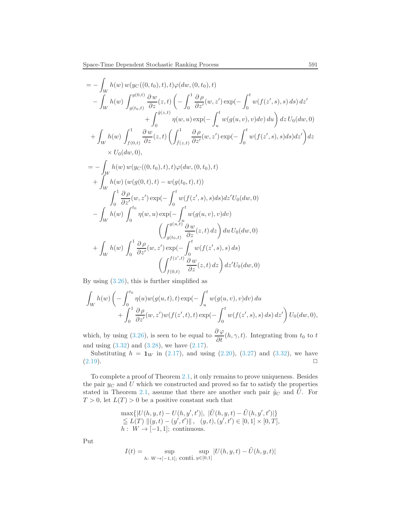$$
= -\int_{W} h(w) w(yC((0, t_{0}), t), t) \varphi(dw, (0, t_{0}), t) - \int_{W} h(w) \int_{g(t_{0}, t)}^{g(0, t)} \frac{\partial w}{\partial z}(z, t) \left( -\int_{0}^{1} \frac{\partial \rho}{\partial z'}(w, z') \exp(-\int_{0}^{t} w(f(z', s), s) ds) dz' + \int_{0}^{\hat{g}(z, t)} \eta(w, u) \exp(-\int_{u}^{t} w(g(u, v), v) dv) du \right) dz U_{0}(dw, 0) + \int_{W} h(w) \int_{f(0, t)}^{1} \frac{\partial w}{\partial z}(z, t) \left( \int_{\hat{f}(z, t)}^{1} \frac{\partial \rho}{\partial z'}(w, z') \exp(-\int_{0}^{t} w(f(z', s), s) ds) dz' \right) dz \times U_{0}(dw, 0), = -\int_{W} h(w) w(yC((0, t_{0}), t), t) \varphi(dw, (0, t_{0}), t) + \int_{W} h(w) (w(g(0, t), t) - w(g(t_{0}, t), t)) - \int_{W} h(w) \int_{0}^{t} \frac{\partial \rho}{\partial z'}(w, z') \exp(-\int_{0}^{t} w(f(z', s), s) ds) dz' U_{0}(dw, 0) - \int_{W} h(w) \int_{0}^{t_{0}} \eta(w, u) \exp(-\int_{u}^{t} w(g(u, v), v) dv) + \int_{W} h(w) \int_{0}^{1} \frac{\partial \rho}{\partial z'}(w, z') \exp(-\int_{0}^{t} w(f(z', s), s) ds) + \int_{W} h(w) \int_{0}^{1} \frac{\partial \rho}{\partial z'}(w, z') \exp(-\int_{0}^{t} w(f(z', s), s) ds) + \int_{y(0, t)} \frac{\partial \rho}{\partial z}(z, t) dz \right) dz' U_{0}(dw, 0)
$$

By using [\(3.26\)](#page-17-1), this is further simplified as

$$
\int_W h(w) \left( - \int_0^{t_0} \eta(u) w(g(u,t),t) \exp(-\int_u^t w(g(u,v),v) dv) du + \int_0^1 \frac{\partial \rho}{\partial z'}(w, z') w(f(z',t),t) \exp(-\int_0^t w(f(z',s),s) ds) dz' \right) U_0(dw,0),
$$

which, by using [\(3.26\)](#page-17-1), is seen to be equal to  $\frac{\partial \varphi}{\partial t}(h, \gamma, t)$ . Integrating from  $t_0$  to t and using [\(3.32\)](#page-18-0) and [\(3.28\)](#page-17-3), we have [\(2.17\)](#page-6-3).

Substituting  $h = 1_W$  in [\(2.17\)](#page-6-3), and using [\(2.20\)](#page-6-5), [\(3.27\)](#page-17-2) and [\(3.32\)](#page-18-0), we have  $(2.19)$ .

To complete a proof of Theorem [2.1,](#page-6-1) it only remains to prove uniqueness. Besides the pair  $y_C$  and U which we constructed and proved so far to satisfy the properties stated in Theorem [2.1,](#page-6-1) assume that there are another such pair  $\tilde{y}_C$  and  $\tilde{U}$ . For  $T > 0$ , let  $L(T) > 0$  be a positive constant such that

$$
\max\{|U(h, y, t) - U(h, y', t')|, |\tilde{U}(h, y, t) - \tilde{U}(h, y', t')|\}\leqq L(T) ||(y, t) - (y', t')||, (y, t), (y', t') \in [0, 1] \times [0, T],h: W \to [-1, 1]; continuous.
$$

Put

$$
I(t) = \sup_{h: \ W \to [-1,1]; \ \text{conti. } y \in [0,1]} |U(h,y,t) - \tilde{U}(h,y,t)|
$$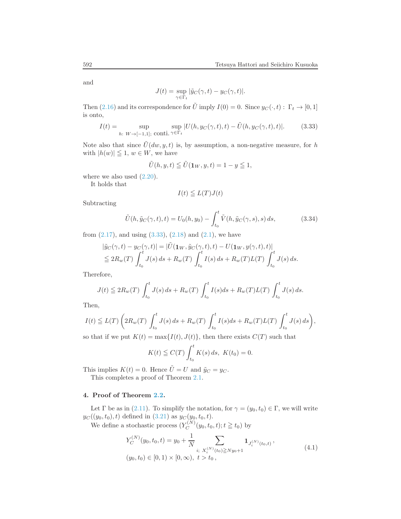and

$$
J(t) = \sup_{\gamma \in \Gamma_t} |\tilde{y}_C(\gamma, t) - y_C(\gamma, t)|.
$$

Then [\(2.16\)](#page-6-2) and its correspondence for  $\tilde{U}$  imply  $I(0) = 0$ . Since  $y_C(\cdot, t) : \Gamma_t \to [0, 1]$ is onto,

<span id="page-21-2"></span>
$$
I(t) = \sup_{h: W \to [-1,1]; \text{ conti. } \gamma \in \Gamma_t} |U(h, y_C(\gamma, t), t) - \tilde{U}(h, y_C(\gamma, t), t)|.
$$
 (3.33)

Note also that since  $\tilde{U}(dw, y, t)$  is, by assumption, a non-negative measure, for h with  $|h(w)| \leq 1, w \in W$ , we have

$$
\tilde{U}(h, y, t) \leq \tilde{U}(1_W, y, t) = 1 - y \leq 1,
$$

where we also used  $(2.20)$ .

It holds that

$$
I(t) \leqq L(T)J(t)
$$

Subtracting

$$
\tilde{U}(h, \tilde{y}_C(\gamma, t), t) = U_0(h, y_0) - \int_{t_0}^t \tilde{V}(h, \tilde{y}_C(\gamma, s), s) ds,
$$
\n(3.34)

from  $(2.17)$ , and using  $(3.33)$ ,  $(2.18)$  and  $(2.1)$ , we have

$$
\begin{aligned} |\tilde{y}_C(\gamma, t) - y_C(\gamma, t)| &= |\tilde{U}(\mathbf{1}_W, \tilde{y}_C(\gamma, t), t) - U(\mathbf{1}_W, y(\gamma, t), t)|) \\ &\leq 2R_w(T) \int_{t_0}^t J(s) \, ds + R_w(T) \int_{t_0}^t I(s) \, ds + R_w(T) L(T) \int_{t_0}^t J(s) \, ds. \end{aligned}
$$

Therefore,

$$
J(t) \leq 2R_w(T) \int_{t_0}^t J(s) \, ds + R_w(T) \int_{t_0}^t I(s) \, ds + R_w(T) L(T) \int_{t_0}^t J(s) \, ds.
$$

Then,

$$
I(t) \leq L(T) \left( 2R_w(T) \int_{t_0}^t J(s) \, ds + R_w(T) \int_{t_0}^t I(s) \, ds + R_w(T) L(T) \int_{t_0}^t J(s) \, ds \right),
$$

so that if we put  $K(t) = \max\{I(t), J(t)\}\)$ , then there exists  $C(T)$  such that

$$
K(t) \leqq C(T) \int_{t_0}^t K(s) \, ds, \ K(t_0) = 0.
$$

This implies  $K(t) = 0$ . Hence  $\tilde{U} = U$  and  $\tilde{y}_C = y_C$ .

This completes a proof of Theorem [2.1.](#page-6-1)

# <span id="page-21-0"></span>4. Proof of Theorem [2.2.](#page-9-0)

Let  $\Gamma$  be as in [\(2.11\)](#page-5-0). To simplify the notation, for  $\gamma = (y_0, t_0) \in \Gamma$ , we will write  $y_C((y_0, t_0), t)$  defined in  $(3.21)$  as  $y_C(y_0, t_0, t)$ .

We define a stochastic process  $(Y_C^{(N)})$  $C^{(N)}(y_0, t_0, t); t \geq t_0$ ) by

<span id="page-21-1"></span>
$$
Y_C^{(N)}(y_0, t_0, t) = y_0 + \frac{1}{N} \sum_{i; \ X_i^{(N)}(t_0) \ge N y_0 + 1} \mathbf{1}_{J_i^{(N)}(t_0, t)},
$$
  
(y\_0, t\_0) \in [0, 1) \times [0, \infty), t > t\_0, (4.1)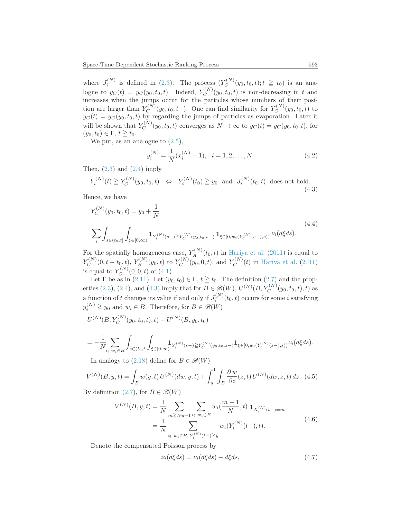where  $J_i^{(N)}$  is defined in [\(2.3\)](#page-4-3). The process  $(Y_C^{(N)}$  $C_C^{(N)}(y_0, t_0, t); t \geq t_0$ ) is an analogue to  $y_C(t) = y_C(y_0, t_0, t)$ . Indeed,  $Y_C^{(N)}$  $C^{(N)}(y_0, t_0, t)$  is non-decreasing in t and increases when the jumps occur for the particles whose numbers of their position are larger than  $Y_C^{(N)}$  $C_C^{(N)}(y_0, t_0, t-)$ . One can find similarity for  $Y_C^{(N)}$  $C^{(N)}(y_0, t_0, t)$  to  $y_C(t) = y_C(y_0, t_0, t)$  by regarding the jumps of particles as evaporation. Later it will be shown that  $Y_C^{(N)}$  $C^{(N)}(y_0, t_0, t)$  converges as  $N \to \infty$  to  $y_C(t) = y_C(y_0, t_0, t)$ , for  $(y_0, t_0) \in \Gamma$ ,  $t \geq t_0$ .

We put, as an analogue to  $(2.5)$ ,

$$
y_i^{(N)} = \frac{1}{N}(x_i^{(N)} - 1), \quad i = 1, 2, \dots, N.
$$
 (4.2)

Then,  $(2.3)$  and  $(2.4)$  imply

<span id="page-22-0"></span>
$$
Y_i^{(N)}(t) \ge Y_C^{(N)}(y_0, t_0, t) \iff Y_i^{(N)}(t_0) \ge y_0 \text{ and } J_i^{(N)}(t_0, t) \text{ does not hold.}
$$
\n(4.3)

Hence, we have

<span id="page-22-1"></span>
$$
Y_C^{(N)}(y_0, t_0, t) = y_0 + \frac{1}{N}
$$
  

$$
\sum_{i} \int_{s \in (t_0, t]} \int_{\xi \in [0, \infty)} \mathbf{1}_{Y_i^{(N)}(s-)} \ge Y_C^{(N)}(y_0, t_0, s-)} \mathbf{1}_{\xi \in [0, w_i(Y_i^{(N)}(s-), s))} \nu_i(d\xi ds).
$$
 (4.4)

For the spatially homogeneous case,  $Y_A^{(N)}(t_0,t)$  in [Hariya et al.](#page-35-5) [\(2011](#page-35-5)) is equal to  $Y_C^{(N)}$  $C^{(N)}_C(0,t-t_0,t), \, Y^{(N)}_B(y_0,t)$  to  $Y^{(N)}_C$  $C^{(N)}(y_0, 0, t)$ , and  $Y_C^{(N)}$  $C^{(N)}(t)$  in [Hariya et al.](#page-35-5) [\(2011\)](#page-35-5) is equal to  $Y_C^{(N)}$  $C^{(N)}(0,0,t)$  of  $(4.1)$ .

Let  $\Gamma$  be as in [\(2.11\)](#page-5-0). Let  $(y_0, t_0) \in \Gamma$ ,  $t \geq t_0$ . The definition [\(2.7\)](#page-5-2) and the prop-erties [\(2.3\)](#page-4-3), [\(2.4\)](#page-4-4), and [\(4.3\)](#page-22-0) imply that for  $B \in \mathscr{B}(W)$ ,  $U^{(N)}(B, Y_C^{(N)}(y_0, t_0, t), t)$  as a function of t changes its value if and only if  $J_i^{(N)}(t_0, t)$  occurs for some i satisfying  $y_i^{(N)} \geq y_0$  and  $w_i \in B$ . Therefore, for  $B \in \mathcal{B}(W)$ 

$$
U^{(N)}(B, Y_C^{(N)}(y_0, t_0, t), t) - U^{(N)}(B, y_0, t_0)
$$

$$
=-\frac{1}{N}\sum_{i;\ w_i\in B}\int_{s\in (t_0,t]}\int_{\xi\in [0,\infty)}\!\!{\bf 1}_{Y_i^{(N)}(s-)\geq Y_C^{(N)}(y_0,t_0,s-)}{\bf 1}_{\xi\in [0,w_i(Y_i^{(N)}(s-),s))}\nu_i(d\xi ds).
$$

In analogy to  $(2.18)$  define for  $B \in \mathcal{B}(W)$ 

<span id="page-22-3"></span>
$$
V^{(N)}(B, y, t) = \int_{B} w(y, t) U^{(N)}(dw, y, t) + \int_{y}^{1} \int_{B} \frac{\partial w}{\partial z}(z, t) U^{(N)}(dw, z, t) dz.
$$
 (4.5)

By definition  $(2.7)$ , for  $B \in \mathcal{B}(W)$ 

<span id="page-22-2"></span>
$$
V^{(N)}(B, y, t) = \frac{1}{N} \sum_{m \geq Ny+1} \sum_{i; w_i \in B} w_i(\frac{m-1}{N}, t) \mathbf{1}_{X_i^{(N)}(t-) = m}
$$
  
= 
$$
\frac{1}{N} \sum_{i; w_i \in B, Y_i^{(N)}(t-) \geq y} w_i(Y_i^{(N)}(t-), t).
$$
 (4.6)

Denote the compensated Poisson process by

<span id="page-22-4"></span>
$$
\tilde{\nu}_i(d\xi ds) = \nu_i(d\xi ds) - d\xi ds, \qquad (4.7)
$$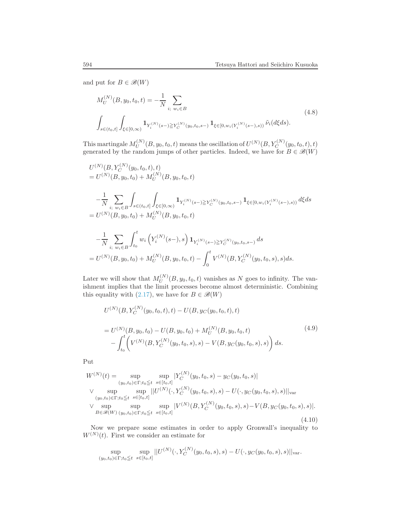and put for  $B \in \mathcal{B}(W)$ 

<span id="page-23-0"></span>
$$
M_U^{(N)}(B, y_0, t_0, t) = -\frac{1}{N} \sum_{i; \ w_i \in B} \tag{4.8}
$$
  

$$
\int_{s \in (t_0, t]} \int_{\xi \in [0, \infty)} \mathbf{1}_{Y_i^{(N)}(s-) \ge Y_C^{(N)}(y_0, t_0, s-)} \mathbf{1}_{\xi \in [0, w_i(Y_i^{(N)}(s-), s))} \tilde{\nu}_i(d\xi ds).
$$

This martingale  $M_U^{(N)}$  $U^{(N)}_{U}(B,y_{0},t_{0},t)$  means the oscillation of  $U^{(N)}(B,Y_{C}^{(N)}(y_{0},t_{0},t),t)$ generated by the random jumps of other particles. Indeed, we have for  $B \in \mathcal{B}(W)$ 

$$
U^{(N)}(B, Y_C^{(N)}(y_0, t_0, t), t)
$$
  
=  $U^{(N)}(B, y_0, t_0) + M_U^{(N)}(B, y_0, t_0, t)$   

$$
- \frac{1}{N} \sum_{i; w_i \in B} \int_{s \in (t_0, t]} \int_{\xi \in [0, \infty)} \mathbf{1}_{Y_i^{(N)}(s-) \ge Y_C^{(N)}(y_0, t_0, s-)} \mathbf{1}_{\xi \in [0, w_i(Y_i^{(N)}(s-), s))} d\xi ds
$$
  
=  $U^{(N)}(B, y_0, t_0) + M_U^{(N)}(B, y_0, t_0, t)$   

$$
- \frac{1}{N} \sum_{i; w_i \in B} \int_{t_0}^t w_i \left(Y_i^{(N)}(s-), s\right) \mathbf{1}_{Y_i^{(N)}(s-) \ge Y_C^{(N)}(y_0, t_0, s-)} ds
$$
  
=  $U^{(N)}(B, y_0, t_0) + M_U^{(N)}(B, y_0, t_0, t) - \int_0^t V^{(N)}(B, Y_C^{(N)}(y_0, t_0, s), s) ds.$ 

Later we will show that  $M_{U}^{(N)}$  $U^{(N)}(B, y_0, t_0, t)$  vanishes as N goes to infinity. The vanishment implies that the limit processes become almost deterministic. Combining this equality with [\(2.17\)](#page-6-3), we have for  $B \in \mathcal{B}(W)$ 

<span id="page-23-1"></span>
$$
U^{(N)}(B, Y_C^{(N)}(y_0, t_0, t), t) - U(B, y_C(y_0, t_0, t), t)
$$
  
= 
$$
U^{(N)}(B, y_0, t_0) - U(B, y_0, t_0) + M_U^{(N)}(B, y_0, t_0, t)
$$
  

$$
- \int_{t_0}^t \left( V^{(N)}(B, Y_C^{(N)}(y_0, t_0, s), s) - V(B, y_C(y_0, t_0, s), s) \right) ds.
$$
 (4.9)

Put

<span id="page-23-2"></span>
$$
W^{(N)}(t) = \sup_{(y_0, t_0) \in \Gamma; t_0 \le t} \sup_{s \in [t_0, t]} |Y_C^{(N)}(y_0, t_0, s) - y_C(y_0, t_0, s)|
$$
  
 
$$
\vee \sup_{(y_0, t_0) \in \Gamma; t_0 \le t} \sup_{s \in [t_0, t]} |U^{(N)}(\cdot, Y_C^{(N)}(y_0, t_0, s), s) - U(\cdot, y_C(y_0, t_0, s), s)||_{var}
$$
  
 
$$
\vee \sup_{B \in \mathscr{B}(W)} \sup_{(y_0, t_0) \in \Gamma; t_0 \le t} \sup_{s \in [t_0, t]} |V^{(N)}(B, Y_C^{(N)}(y_0, t_0, s), s) - V(B, y_C(y_0, t_0, s), s)|.
$$
  
(4.10)

Now we prepare some estimates in order to apply Gronwall's inequality to  $W^{(N)}(t)$ . First we consider an estimate for

$$
\sup_{(y_0,t_0)\in\Gamma;t_0\leqq t}\sup_{s\in[t_0,t]}||U^{(N)}(\cdot,Y_C^{(N)}(y_0,t_0,s),s)-U(\cdot,y_C(y_0,t_0,s),s)||_{\text{var}}.
$$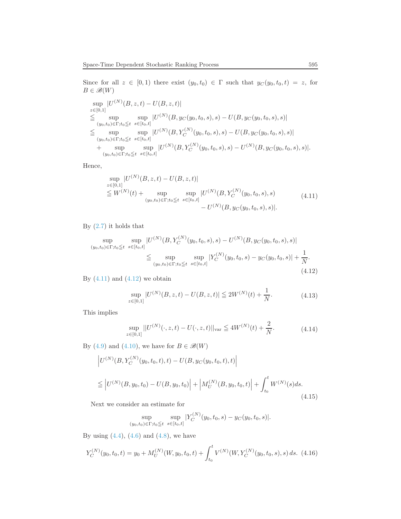Since for all  $z \in [0,1)$  there exist  $(y_0, t_0) \in \Gamma$  such that  $y_C(y_0, t_0, t) = z$ , for  $B \in \mathscr{B}(W)$ 

$$
\sup_{z \in [0,1]} |U^{(N)}(B, z, t) - U(B, z, t)|
$$
\n
$$
\leqq \sup_{(y_0, t_0) \in \Gamma; t_0 \leqq t} \sup_{s \in [t_0, t]} |U^{(N)}(B, y_C(y_0, t_0, s), s) - U(B, y_C(y_0, t_0, s), s)|
$$
\n
$$
\leqq \sup_{(y_0, t_0) \in \Gamma; t_0 \leqq t} \sup_{s \in [t_0, t]} |U^{(N)}(B, Y_C^{(N)}(y_0, t_0, s), s) - U(B, y_C(y_0, t_0, s), s)|
$$
\n
$$
+ \sup_{(y_0, t_0) \in \Gamma; t_0 \leqq t} \sup_{s \in [t_0, t]} |U^{(N)}(B, Y_C^{(N)}(y_0, t_0, s), s) - U^{(N)}(B, y_C(y_0, t_0, s), s)|.
$$

Hence,

<span id="page-24-0"></span>
$$
\sup_{z \in [0,1]} |U^{(N)}(B, z, t) - U(B, z, t)|
$$
\n
$$
\leq W^{(N)}(t) + \sup_{(y_0, t_0) \in \Gamma; t_0 \leq t} \sup_{s \in [t_0, t]} |U^{(N)}(B, Y_C^{(N)}(y_0, t_0, s), s)|
$$
\n
$$
- U^{(N)}(B, y_C(y_0, t_0, s), s)|.
$$
\n(4.11)

By  $(2.7)$  it holds that

<span id="page-24-1"></span>
$$
\sup_{(y_0, t_0) \in \Gamma; t_0 \le t} \sup_{s \in [t_0, t]} |U^{(N)}(B, Y_C^{(N)}(y_0, t_0, s), s) - U^{(N)}(B, y_C(y_0, t_0, s), s)|
$$
  
\n
$$
\le \sup_{(y_0, t_0) \in \Gamma; t_0 \le t} \sup_{s \in [t_0, t]} |Y_C^{(N)}(y_0, t_0, s) - y_C(y_0, t_0, s)| + \frac{1}{N}.
$$
\n(4.12)

By  $(4.11)$  and  $(4.12)$  we obtain

$$
\sup_{z \in [0,1]} |U^{(N)}(B,z,t) - U(B,z,t)| \le 2W^{(N)}(t) + \frac{1}{N}.
$$
\n(4.13)

This implies

<span id="page-24-2"></span>
$$
\sup_{z \in [0,1]} ||U^{(N)}(\cdot, z, t) - U(\cdot, z, t)||_{\text{var}} \le 4W^{(N)}(t) + \frac{2}{N}.
$$
\n(4.14)

By [\(4.9\)](#page-23-1) and [\(4.10\)](#page-23-2), we have for  $B \in \mathcal{B}(W)$ 

<span id="page-24-3"></span>
$$
\left| U^{(N)}(B, Y_C^{(N)}(y_0, t_0, t), t) - U(B, y_C(y_0, t_0, t), t) \right|
$$
  
\n
$$
\leq \left| U^{(N)}(B, y_0, t_0) - U(B, y_0, t_0) \right| + \left| M_U^{(N)}(B, y_0, t_0, t) \right| + \int_{t_0}^t W^{(N)}(s) ds.
$$
\n(4.15)

Next we consider an estimate for

$$
\sup_{(y_0,t_0)\in\Gamma;t_0\leqq t}\sup_{s\in[t_0,t]}|Y_C^{(N)}(y_0,t_0,s)-y_C(y_0,t_0,s)|.
$$

By using  $(4.4)$ ,  $(4.6)$  and  $(4.8)$ , we have

$$
Y_C^{(N)}(y_0, t_0, t) = y_0 + M_U^{(N)}(W, y_0, t_0, t) + \int_{t_0}^t V^{(N)}(W, Y_C^{(N)}(y_0, t_0, s), s) ds. \tag{4.16}
$$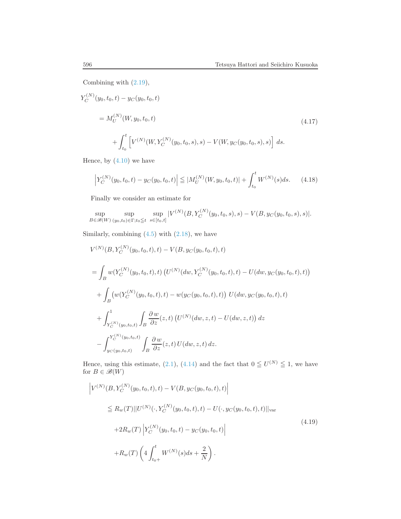Combining with [\(2.19\)](#page-6-4),

$$
Y_C^{(N)}(y_0, t_0, t) - y_C(y_0, t_0, t)
$$
  
=  $M_U^{(N)}(W, y_0, t_0, t)$   
+  $\int_{t_0}^t \left[ V^{(N)}(W, Y_C^{(N)}(y_0, t_0, s), s) - V(W, y_C(y_0, t_0, s), s) \right] ds.$  (4.17)

Hence, by  $(4.10)$  we have

<span id="page-25-1"></span>
$$
\left| Y_C^{(N)}(y_0, t_0, t) - y_C(y_0, t_0, t) \right| \leq |M_U^{(N)}(W, y_0, t_0, t)| + \int_{t_0}^t W^{(N)}(s)ds. \tag{4.18}
$$

Finally we consider an estimate for

$$
\sup_{B \in \mathcal{B}(W)} \sup_{(y_0, t_0) \in \Gamma; t_0 \le t} \sup_{s \in [t_0, t]} |V^{(N)}(B, Y_C^{(N)}(y_0, t_0, s), s) - V(B, y_C(y_0, t_0, s), s)|.
$$

Similarly, combining  $(4.5)$  with  $(2.18)$ , we have

$$
V^{(N)}(B, Y_C^{(N)}(y_0, t_0, t), t) - V(B, y_C(y_0, t_0, t), t)
$$
  
= 
$$
\int_B w(Y_C^{(N)}(y_0, t_0, t), t) (U^{(N)}(dw, Y_C^{(N)}(y_0, t_0, t), t) - U(dw, y_C(y_0, t_0, t), t))
$$
  
+ 
$$
\int_B (w(Y_C^{(N)}(y_0, t_0, t), t) - w(y_C(y_0, t_0, t), t)) U(dw, y_C(y_0, t_0, t), t)
$$
  
+ 
$$
\int_{Y_C^{(N)}(y_0, t_0, t)} \int_B \frac{\partial w}{\partial z}(z, t) (U^{(N)}(dw, z, t) - U(dw, z, t)) dz
$$
  
- 
$$
\int_{y_C(y_0, t_0, t)}^{Y_C^{(N)}(y_0, t_0, t)} \int_B \frac{\partial w}{\partial z}(z, t) U(dw, z, t) dz.
$$

Hence, using this estimate, [\(2.1\)](#page-4-2), [\(4.14\)](#page-24-2) and the fact that  $0 \leq U^{(N)} \leq 1$ , we have for  $B \in \mathcal{B}(W)$ 

<span id="page-25-0"></span>
$$
\left| V^{(N)}(B, Y_C^{(N)}(y_0, t_0, t), t) - V(B, y_C(y_0, t_0, t), t) \right|
$$
  
\n
$$
\leq R_w(T) ||U^{(N)}(\cdot, Y_C^{(N)}(y_0, t_0, t), t) - U(\cdot, y_C(y_0, t_0, t), t) ||_{var}
$$
  
\n
$$
+ 2R_w(T) \left| Y_C^{(N)}(y_0, t_0, t) - y_C(y_0, t_0, t) \right|
$$
  
\n
$$
+ R_w(T) \left( 4 \int_{t_0+}^t W^{(N)}(s) ds + \frac{2}{N} \right).
$$
\n(4.19)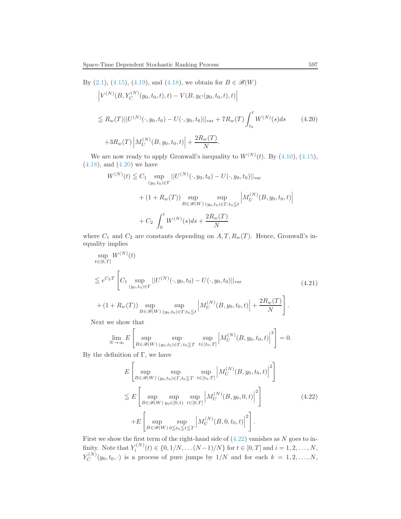By  $(2.1)$ ,  $(4.15)$ ,  $(4.19)$ , and  $(4.18)$ , we obtain for  $B \in \mathcal{B}(W)$ 

<span id="page-26-0"></span>
$$
\left| V^{(N)}(B, Y_C^{(N)}(y_0, t_0, t), t) - V(B, y_C(y_0, t_0, t), t) \right|
$$
  
\n
$$
\leq R_w(T) ||U^{(N)}(\cdot, y_0, t_0) - U(\cdot, y_0, t_0)||_{var} + 7R_w(T) \int_{t_0}^t W^{(N)}(s) ds \qquad (4.20)
$$
  
\n
$$
+ 3R_w(T) \left| M_U^{(N)}(B, y_0, t_0, t) \right| + \frac{2R_w(T)}{N}.
$$

We are now ready to apply Gronwall's inequality to  $W^{(N)}(t)$ . By [\(4.10\)](#page-23-2), [\(4.15\)](#page-24-3),  $(4.18)$ , and  $(4.20)$  we have

$$
W^{(N)}(t) \leq C_1 \sup_{(y_0, t_0) \in \Gamma} ||U^{(N)}(\cdot, y_0, t_0) - U(\cdot, y_0, t_0)||_{var}
$$
  
+ 
$$
(1 + R_w(T)) \sup_{B \in \mathscr{B}(W)} \sup_{(y_0, t_0) \in \Gamma; t_0 \leq t} \left| M_U^{(N)}(B, y_0, t_0, t) \right|
$$
  
+ 
$$
C_2 \int_0^t W^{(N)}(s) ds + \frac{2R_w(T)}{N}
$$

where  $C_1$  and  $C_2$  are constants depending on  $A, T, R_w(T)$ . Hence, Gronwall's inequality implies

<span id="page-26-2"></span>
$$
\sup_{t \in [0,T]} W^{(N)}(t)
$$
\n
$$
\leq e^{C_2 T} \left[ C_1 \sup_{(y_0, t_0) \in \Gamma} ||U^{(N)}(\cdot, y_0, t_0) - U(\cdot, y_0, t_0)||_{var} \right]
$$
\n
$$
+ (1 + R_w(T)) \sup_{B \in \mathcal{B}(W)} \sup_{(y_0, t_0) \in \Gamma; t_0 \leq t} \left| M_U^{(N)}(B, y_0, t_0, t) \right| + \frac{2R_w(T)}{N} \right].
$$
\n(4.21)

Next we show that

$$
\lim_{N \to \infty} E\left[\sup_{B \in \mathscr{B}(W)} \sup_{(y_0, t_0) \in \Gamma; t_0 \le T} \sup_{t \in [t_0, T]} \left| M_U^{(N)}(B, y_0, t_0, t) \right|^2 \right] = 0.
$$

By the definition of  $\Gamma$ , we have

<span id="page-26-1"></span>
$$
E\left[\sup_{B\in\mathscr{B}(W)}\sup_{(y_0,t_0)\in\Gamma,t_0\leq T}\sup_{t\in[t_0,T]}\left|M_U^{(N)}(B,y_0,t_0,t)\right|^2\right]
$$
  
\n
$$
\leq E\left[\sup_{B\in\mathscr{B}(W)}\sup_{y_0\in[0,1)}\sup_{t\in[0,T]}\left|M_U^{(N)}(B,y_0,0,t)\right|^2\right]
$$
  
\n
$$
+E\left[\sup_{B\in\mathscr{B}(W)}\sup_{0\leq t_0\leq t\leq T}\left|M_U^{(N)}(B,0,t_0,t)\right|^2\right].
$$
\n(4.22)

First we show the first term of the right-hand side of  $(4.22)$  vanishes as N goes to infinity. Note that  $Y_i^{(N)}(t) \in \{0, 1/N, \dots (N-1)/N\}$  for  $t \in [0, T]$  and  $i = 1, 2, \dots, N$ ,  $Y_C^{(N)}$  $C^{(N)}(y_0, t_0, \cdot)$  is a process of pure jumps by  $1/N$  and for each  $k = 1, 2, \ldots, N$ ,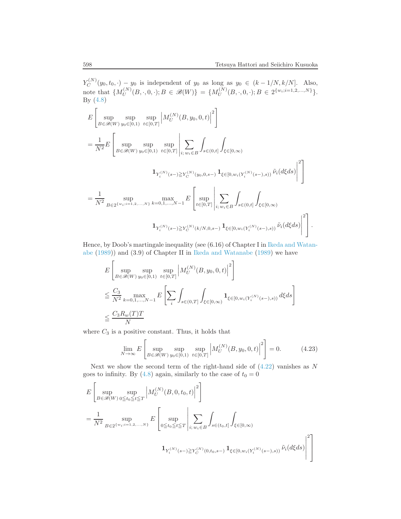$Y_C^{(N)}$  $C^{(N)}(y_0, t_0, \cdot) - y_0$  is independent of  $y_0$  as long as  $y_0 \in (k - 1/N, k/N]$ . Also, note that  $\{M_U^{(N)}\}$  $U^{(N)}(B,\cdot,0,\cdot); B \in \mathscr{B}(W) \} = \{M^{(N)}_U$  $U^{(N)}(B,\cdot,0,\cdot); B \in 2^{\{w_i; i=1,2,...,N\}}.$ By [\(4.8\)](#page-23-0)

$$
E\left[\sup_{B\in\mathscr{B}(W)}\sup_{y_0\in[0,1)}\sup_{t\in[0,T]}\left|M_U^{(N)}(B,y_0,0,t)\right|^2\right]
$$
  
\n
$$
=\frac{1}{N^2}E\left[\sup_{B\in\mathscr{B}(W)}\sup_{y_0\in[0,1)}\sup_{t\in[0,T]}\left|\sum_{i;\,w_i\in B}\int_{s\in(0,t]}\int_{\xi\in[0,\infty)}\right|^{2}\right]
$$
  
\n
$$
\mathbf{1}_{Y_i^{(N)}(s-)\geq Y_C^{(N)}(y_0,0,s-)}\mathbf{1}_{\xi\in[0,w_i(Y_i^{(N)}(s-),s))}\tilde{\nu}_i(d\xi ds)\right|^2\right]
$$
  
\n
$$
=\frac{1}{N^2}\sup_{B\in2^{\{w_i;i=1,2,\ldots,N\}}}\max_{k=0,1,\ldots,N-1}E\left[\sup_{t\in[0,T]}\left|\sum_{i;\,w_i\in B}\int_{s\in(0,t]}\int_{\xi\in[0,\infty)}\right|^{2}\right]
$$
  
\n
$$
\mathbf{1}_{Y_i^{(N)}(s-)\geq Y_C^{(N)}(k/N,0,s-)}\mathbf{1}_{\xi\in[0,w_i(Y_i^{(N)}(s-),s))}\tilde{\nu}_i(d\xi ds)\right|^2\right].
$$

He[nce, by Doob's martingale inequality \(see \(6.16\) of Chapter I in](#page-35-0) Ikeda and Watanabe [\(1989](#page-35-0))) and (3.9) of Chapter II in [Ikeda and Watanabe](#page-35-0) [\(1989](#page-35-0)) we have

$$
\begin{split} &E\left[\sup_{B\in\mathscr{B}(W)}\sup_{y_0\in[0,1)}\sup_{t\in[0,T]}\left|M_U^{(N)}(B,y_0,0,t)\right|^2\right] \\ &\leq \frac{C_3}{N^2}\max_{k=0,1,...,N-1}E\left[\sum_i\int_{s\in(0,T]}\int_{\xi\in[0,\infty)}\mathbf{1}_{\xi\in[0,w_i(Y_i^{(N)}(s-),s))}d\xi ds\right] \\ &\leq \frac{C_3R_w(T)T}{N} \end{split}
$$

where  $C_3$  is a positive constant. Thus, it holds that

<span id="page-27-0"></span>
$$
\lim_{N \to \infty} E\left[\sup_{B \in \mathcal{B}(W)} \sup_{y_0 \in [0,1)} \sup_{t \in [0,T]} \left| M_U^{(N)}(B, y_0, 0, t) \right|^2 \right] = 0. \tag{4.23}
$$

Next we show the second term of the right-hand side of  $(4.22)$  vanishes as N goes to infinity. By [\(4.8\)](#page-23-0) again, similarly to the case of  $t_0 = 0$ 

$$
E\left[\sup_{B\in\mathscr{B}(W)}\sup_{0\leq t_0\leq t\leq T}\left|M_U^{(N)}(B,0,t_0,t)\right|^2\right]
$$
  
=  $\frac{1}{N^2}\sup_{B\in2^{\{w_i;i=1,2,\ldots,N\}}}\left|E\left[\sup_{0\leq t_0\leq t\leq T}\left|\sum_{i;\,w_i\in B}\int_{s\in(t_0,t]}\int_{\xi\in[0,\infty)}\right|\right]$   

$$
\mathbf{1}_{Y_i^{(N)}(s-)\geq Y_C^{(N)}(0,t_0,s-)}\mathbf{1}_{\xi\in[0,w_i(Y_i^{(N)}(s-),s))}\tilde{\nu}_i(d\xi ds)\right|^2\right]
$$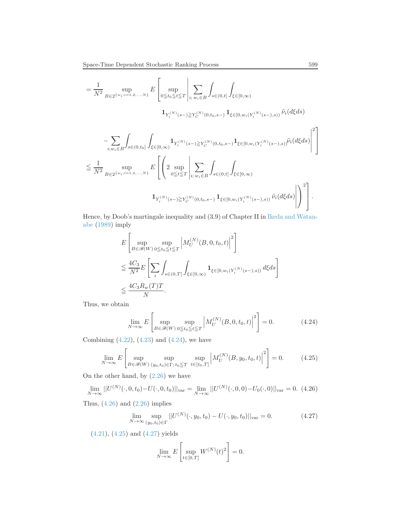$$
= \frac{1}{N^2} \sup_{B \in 2^{\{w_i; i=1,2,...,N\}}} E\left[\sup_{0 \le t_0 \le t \le T} \left| \sum_{i;\,w_i \in B} \int_{s \in (0,t]} \int_{\xi \in [0,\infty)} \right. \right.\n1_{Y_i^{(N)}(s-) \ge Y_C^{(N)}(0,t_0,s-) } 1_{\xi \in [0,w_i(Y_i^{(N)}(s-),s))} \tilde{\nu}_i(d\xi ds)\n- \sum_{i;\,w_i \in B} \int_{s \in (0,t_0]} \int_{\xi \in [0,\infty)} 1_{Y_i^{(N)}(s-) \ge Y_C^{(N)}(0,t_0,s-) } 1_{\xi \in [0,w_i(Y_i^{(N)}(s-),s))} \tilde{\nu}_i(d\xi ds)\n\right|^{2}\n\le \frac{1}{N^2} \sup_{B \in 2^{\{w_i; i=1,2,...,N\}}} E\left[\left(2 \sup_{0 \le t \le T} \left| \sum_{i;\,w_i \in B} \int_{s \in (0,t]} \int_{\xi \in [0,\infty)} \right. \right.\right)
$$

$$
\mathbf{1}_{Y_i^{(N)}(s-)\geq Y_C^{(N)}(0,t_0,s-)}\mathbf{1}_{\xi\in[0,w_i(Y_i^{(N)}(s-),s))}\tilde{\nu}_i(d\xi ds)\Bigg|\Bigg)\Bigg].
$$

He[nce, by Doob's martingale inequality and \(3.9\) of Chapter II in](#page-35-0) Ikeda and Watanabe [\(1989](#page-35-0)) imply

$$
E\left[\sup_{B\in\mathscr{B}(W)}\sup_{0\leq t_0\leq t\leq T}\left|M_U^{(N)}(B,0,t_0,t)\right|^2\right]
$$
  
\n
$$
\leq \frac{4C_3}{N^2}E\left[\sum_i\int_{s\in(0,T]}\int_{\xi\in[0,\infty)}\mathbf{1}_{\xi\in[0,w_i(Y_i^{(N)}(s-),s))}d\xi ds\right]
$$
  
\n
$$
\leq \frac{4C_3R_w(T)T}{N}.
$$

Thus, we obtain

<span id="page-28-0"></span>
$$
\lim_{N \to \infty} E\left[\sup_{B \in \mathcal{B}(W)} \sup_{0 \le t_0 \le t \le T} \left| M_U^{(N)}(B, 0, t_0, t) \right|^2 \right] = 0. \tag{4.24}
$$

Combining  $(4.22)$ ,  $(4.23)$  and  $(4.24)$ , we have

<span id="page-28-2"></span>
$$
\lim_{N \to \infty} E\left[\sup_{B \in \mathcal{B}(W)} \sup_{(y_0, t_0) \in \Gamma; t_0 \le T} \sup_{t \in [t_0, T]} \left| M_U^{(N)}(B, y_0, t_0, t) \right|^2 \right] = 0. \tag{4.25}
$$

On the other hand, by  $(2.26)$  we have

<span id="page-28-1"></span>
$$
\lim_{N \to \infty} ||U^{(N)}(\cdot, 0, t_0) - U(\cdot, 0, t_0)||_{var} = \lim_{N \to \infty} ||U^{(N)}(\cdot, 0, 0) - U_0(\cdot, 0)||_{var} = 0. \tag{4.26}
$$

Thus,  $(4.26)$  and  $(2.26)$  implies

<span id="page-28-3"></span>
$$
\lim_{N \to \infty} \sup_{(y_0, t_0) \in \Gamma} ||U^{(N)}(\cdot, y_0, t_0) - U(\cdot, y_0, t_0)||_{\text{var}} = 0.
$$
\n(4.27)

[\(4.21\)](#page-26-2), [\(4.25\)](#page-28-2) and [\(4.27\)](#page-28-3) yields

$$
\lim_{N \to \infty} E\left[\sup_{t \in [0,T]} W^{(N)}(t)^2\right] = 0.
$$

"

1  $\overline{1}$  $\overline{1}$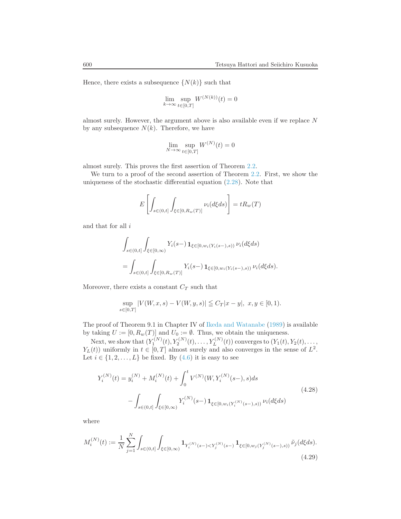Hence, there exists a subsequence  $\{N(k)\}$  such that

$$
\lim_{k \to \infty} \sup_{t \in [0,T]} W^{(N(k))}(t) = 0
$$

almost surely. However, the argument above is also available even if we replace N by any subsequence  $N(k)$ . Therefore, we have

$$
\lim_{N \to \infty} \sup_{t \in [0,T]} W^{(N)}(t) = 0
$$

almost surely. This proves the first assertion of Theorem [2.2.](#page-9-0)

We turn to a proof of the second assertion of Theorem [2.2.](#page-9-0) First, we show the uniqueness of the stochastic differential equation  $(2.28)$ . Note that

$$
E\left[\int_{s\in(0,t]}\int_{\xi\in[0,R_w(T)]}\nu_i(d\xi ds)\right] = tR_w(T)
$$

and that for all  $i$ 

$$
\int_{s\in(0,t]} \int_{\xi\in[0,\infty)} Y_i(s-) \mathbf{1}_{\xi\in[0,w_i(Y_i(s-),s))} \nu_i(d\xi ds)
$$
  
= 
$$
\int_{s\in(0,t]} \int_{\xi\in[0,R_w(T)]} Y_i(s-) \mathbf{1}_{\xi\in[0,w_i(Y_i(s-),s))} \nu_i(d\xi ds).
$$

Moreover, there exists a constant  ${\cal C}_{\cal T}$  such that

$$
\sup_{s \in [0,T]} |V(W, x, s) - V(W, y, s)| \leqq C_T |x - y|, \ x, y \in [0, 1).
$$

The proof of Theorem 9.1 in Chapter IV of [Ikeda and Watanabe](#page-35-0) [\(1989\)](#page-35-0) is available by taking  $U := [0, R_w(T)]$  and  $U_0 := \emptyset$ . Thus, we obtain the uniqueness.

Next, we show that  $(Y_1^{(N)}(t), Y_2^{(N)}(t), \ldots, Y_L^{(N)}(t))$  converges to  $(Y_1(t), Y_2(t), \ldots, Y_L^{(N)}(t))$  $Y_L(t)$  uniformly in  $t \in [0, T]$  almost surely and also converges in the sense of  $L^2$ . Let  $i \in \{1, 2, \ldots, L\}$  be fixed. By  $(4.6)$  it is easy to see

<span id="page-29-1"></span>
$$
Y_i^{(N)}(t) = y_i^{(N)} + M_i^{(N)}(t) + \int_0^t V^{(N)}(W, Y_i^{(N)}(s-), s) ds
$$
  

$$
- \int_{s \in (0,t]} \int_{\xi \in [0,\infty)} Y_i^{(N)}(s-) \mathbf{1}_{\xi \in [0,w_i(Y_i^{(N)}(s-),s))} \nu_i(d\xi ds)
$$
(4.28)

where

<span id="page-29-0"></span>
$$
M_i^{(N)}(t) := \frac{1}{N} \sum_{j=1}^N \int_{s \in (0,t]} \int_{\xi \in [0,\infty)} \mathbf{1}_{Y_i^{(N)}(s-) < Y_j^{(N)}(s-)} \mathbf{1}_{\xi \in [0,w_j(Y_j^{(N)}(s-),s))} \tilde{\nu}_j(d\xi ds). \tag{4.29}
$$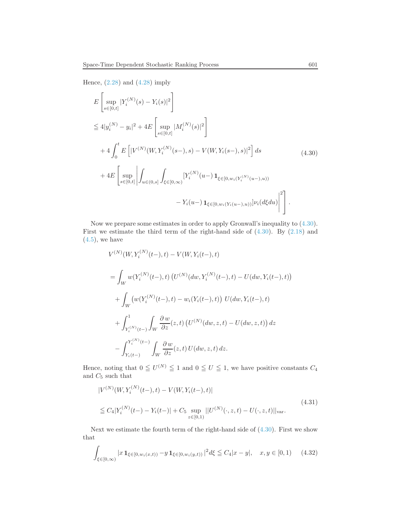Hence,  $(2.28)$  and  $(4.28)$  imply

<span id="page-30-0"></span>
$$
E\left[\sup_{s\in[0,t]} |Y_i^{(N)}(s) - Y_i(s)|^2\right]
$$
  
\n
$$
\leq 4|y_i^{(N)} - y_i|^2 + 4E\left[\sup_{s\in[0,t]} |M_i^{(N)}(s)|^2\right]
$$
  
\n
$$
+ 4\int_0^t E\left[|V^{(N)}(W, Y_i^{(N)}(s-), s) - V(W, Y_i(s-), s)|^2\right] ds
$$
  
\n
$$
+ 4E\left[\sup_{s\in[0,t]} \left| \int_{u\in(0,s]} \int_{\xi\in[0,\infty)} [Y_i^{(N)}(u-) \mathbf{1}_{\xi\in[0,w_i(Y_i^{(N)}(u-), u))} - Y_i(u-) \mathbf{1}_{\xi\in[0,w_i(Y_i(u-), u))}] \nu_i(d\xi du) \right|^2\right].
$$
\n(4.30)

Now we prepare some estimates in order to apply Gronwall's inequality to [\(4.30\)](#page-30-0). First we estimate the third term of the right-hand side of  $(4.30)$ . By  $(2.18)$  and  $(4.5)$ , we have

$$
V^{(N)}(W, Y_i^{(N)}(t-), t) - V(W, Y_i(t-), t)
$$
  
= 
$$
\int_W w(Y_i^{(N)}(t-), t) (U^{(N)}(dw, Y_i^{(N)}(t-), t) - U(dw, Y_i(t-), t))
$$
  
+ 
$$
\int_W (w(Y_i^{(N)}(t-), t) - w_i(Y_i(t-), t)) U(dw, Y_i(t-), t)
$$
  
+ 
$$
\int_{Y_i^{(N)}(t-)} \int_W \frac{\partial w}{\partial z}(z, t) (U^{(N)}(dw, z, t) - U(dw, z, t)) dz
$$
  
- 
$$
\int_{Y_i(t-)}^{Y_i^{(N)}(t-)} \int_W \frac{\partial w}{\partial z}(z, t) U(dw, z, t) dz.
$$

Hence, noting that  $0 \leq U^{(N)} \leq 1$  and  $0 \leq U \leq 1$ , we have positive constants  $C_4$ and  $C_5$  such that

<span id="page-30-2"></span>
$$
|V^{(N)}(W, Y_i^{(N)}(t-), t) - V(W, Y_i(t-), t)|
$$
  
\n
$$
\leq C_4 |Y_i^{(N)}(t-) - Y_i(t-)| + C_5 \sup_{z \in [0,1)} ||U^{(N)}(\cdot, z, t) - U(\cdot, z, t)||_{var}.
$$
\n(4.31)

Next we estimate the fourth term of the right-hand side of  $(4.30)$ . First we show that

<span id="page-30-1"></span>
$$
\int_{\xi \in [0,\infty)} |x \mathbf{1}_{\xi \in [0,w_i(x,t))} - y \mathbf{1}_{\xi \in [0,w_i(y,t))}|^2 d\xi \le C_4 |x-y|, \quad x, y \in [0,1) \tag{4.32}
$$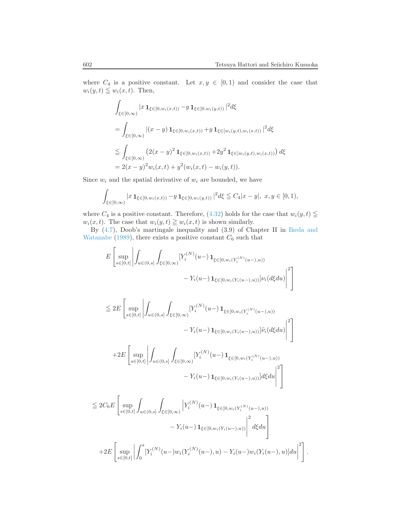where  $C_4$  is a positive constant. Let  $x, y \in [0, 1)$  and consider the case that  $w_i(y, t) \leq w_i(x, t)$ . Then,

$$
\int_{\xi \in [0,\infty)} |x \mathbf{1}_{\xi \in [0,w_i(x,t))} - y \mathbf{1}_{\xi \in [0,w_i(y,t))}|^2 d\xi
$$
\n
$$
= \int_{\xi \in [0,\infty)} |(x-y) \mathbf{1}_{\xi \in [0,w_i(x,t))} + y \mathbf{1}_{\xi \in [w_i(y,t),w_i(x,t))}|^2 d\xi
$$
\n
$$
\leqq \int_{\xi \in [0,\infty)} (2(x-y)^2 \mathbf{1}_{\xi \in [0,w_i(x,t))} + 2y^2 \mathbf{1}_{\xi \in [w_i(y,t),w_i(x,t))}) d\xi
$$
\n
$$
= 2(x-y)^2 w_i(x,t) + y^2 (w_i(x,t) - w_i(y,t)).
$$

Since  $w_i$  and the spatial derivative of  $w_i$  are bounded, we have

$$
\int_{\xi \in [0,\infty)} |x \mathbf{1}_{\xi \in [0,w_i(x,t))} - y \mathbf{1}_{\xi \in [0,w_i(y,t))}|^2 d\xi \leq C_4 |x-y|, \ x, y \in [0,1),
$$

where  $C_4$  is a positive constant. Therefore, [\(4.32\)](#page-30-1) holds for the case that  $w_i(y, t) \leq$  $w_i(x, t)$ . The case that  $w_i(y, t) \geq w_i(x, t)$  is shown similarly.

By [\(4.7\)](#page-22-4)[, Doob's martingale inequality and \(3.9\) of Chapter II in](#page-35-0) Ikeda and Watanabe [\(1989](#page-35-0)), there exists a positive constant  $C_6$  such that

$$
E\left[\sup_{s\in[0,t]}\left|\int_{u\in(0,s]}\int_{\xi\in[0,\infty)}[Y_i^{(N)}(u-)\mathbf{1}_{\xi\in[0,w_i(Y_i^{(N)}(u-),u))}\right|Y_i(d\xi du)\right|^2\right]
$$
  
-  $Y_i(u-) \mathbf{1}_{\xi\in[0,w_i(Y_i(u-),u))}|\nu_i(d\xi du)|^2\right]$ 

$$
\leq 2E \left[ \sup_{s \in [0,t]} \left| \int_{u \in (0,s]} \int_{\xi \in [0,\infty)} [Y_i^{(N)}(u-) \mathbf{1}_{\xi \in [0,w_i(Y_i^{(N)}(u-),u))} - Y_i(u-) \mathbf{1}_{\xi \in [0,w_i(Y_i(u-),u))}] \tilde{\nu}_i(d\xi du) \right|^2 \right]
$$

$$
+2E\left[\sup_{s\in[0,t]}\left|\int_{u\in(0,s]}\int_{\xi\in[0,\infty)}[Y_i^{(N)}(u-)\mathbf{1}_{\xi\in[0,w_i(Y_i^{(N)}(u-),u))}\right|\\-Y_i(u-)\mathbf{1}_{\xi\in[0,w_i(Y_i(u-),u))}d\xi du\right|^2\right]
$$

$$
\leq 2C_6 E \left[ \sup_{s \in [0,t]} \int_{u \in (0,s]} \int_{\xi \in [0,\infty)} \left| Y_i^{(N)}(u-) \mathbf{1}_{\xi \in [0,w_i(Y_i^{(N)}(u-),u))} \right| \right] - Y_i(u-) \mathbf{1}_{\xi \in [0,w_i(Y_i(u-),u))} \left| \int_0^2 d\xi du \right| + 2E \left[ \sup_{s \in [0,t]} \left| \int_0^s [Y_i^{(N)}(u-)w_i(Y_i^{(N)}(u-),u) - Y_i(u-)w_i(Y_i(u-),u)]du \right|^2 \right].
$$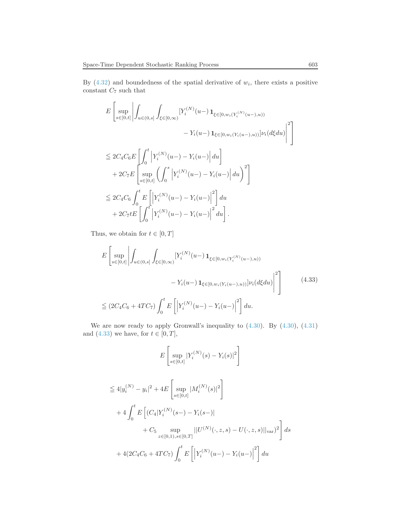By  $(4.32)$  and boundedness of the spatial derivative of  $w<sub>i</sub>$ , there exists a positive constant  $C_7$  such that

$$
E\left[\sup_{s\in[0,t]}\left|\int_{u\in(0,s]}\int_{\xi\in[0,\infty)}[Y_i^{(N)}(u-)\mathbf{1}_{\xi\in[0,w_i(Y_i^{(N)}(u-),u))}\right|Y_i(d\xi du)\right|^2\right] -Y_i(u-) \mathbf{1}_{\xi\in[0,w_i(Y_i(u-),u))}]V_i(d\xi du)\left|^2\right]
$$
  

$$
\leq 2C_4C_6E\left[\int_0^t \left|Y_i^{(N)}(u-)-Y_i(u-)\right|du\right] + 2C_7E\left[\sup_{s\in[0,t]}\left(\int_0^s \left|Y_i^{(N)}(u-)-Y_i(u-)\right|du\right)^2\right]
$$
  

$$
\leq 2C_4C_6\int_0^t E\left[\left|Y_i^{(N)}(u-)-Y_i(u-)\right|^2\right]du
$$
  
+2C\_7tE\left[\int\_0^t \left|Y\_i^{(N)}(u-)-Y\_i(u-)\right|^2du\right].

Thus, we obtain for  $t\in[0,T]$ 

<span id="page-32-0"></span>
$$
E\left[\sup_{s\in[0,t]}\left|\int_{u\in(0,s]}\int_{\xi\in[0,\infty)}[Y_i^{(N)}(u-)\mathbf{1}_{\xi\in[0,w_i(Y_i^{(N)}(u-),u))}\right|Y_i(d\xi du)\right|^2\right]
$$

$$
-Y_i(u-)\mathbf{1}_{\xi\in[0,w_i(Y_i(u-),u))}|\nu_i(d\xi du)\right|^2\right]
$$
(4.33)  

$$
\leq (2C_4C_6 + 4TC_7)\int_0^t E\left[\left|Y_i^{(N)}(u-) - Y_i(u-)\right|^2\right]du.
$$

We are now ready to apply Gronwall's inequality to [\(4.30\)](#page-30-0). By [\(4.30\)](#page-30-0), [\(4.31\)](#page-30-2) and [\(4.33\)](#page-32-0) we have, for  $t \in [0, T]$ ,

$$
E\left[\sup_{s\in[0,t]} |Y_i^{(N)}(s) - Y_i(s)|^2\right]
$$
  
\n
$$
\leq 4|y_i^{(N)} - y_i|^2 + 4E\left[\sup_{s\in[0,t]} |M_i^{(N)}(s)|^2\right]
$$
  
\n
$$
+ 4\int_0^t E\left[(C_4|Y_i^{(N)}(s-) - Y_i(s-)| + C_5 \sup_{z\in[0,1), s\in[0,T]} ||U^{(N)}(\cdot, z, s) - U(\cdot, z, s)||_{\text{var}})^2\right] ds
$$
  
\n
$$
+ 4(2C_4C_6 + 4TC_7) \int_0^t E\left[\left|Y_i^{(N)}(u-) - Y_i(u-) \right|^2\right] du
$$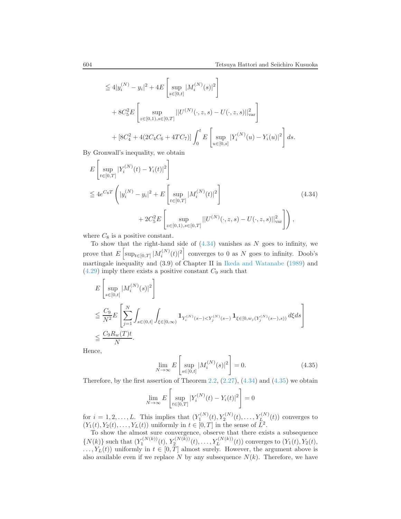$$
\leq 4|y_i^{(N)} - y_i|^2 + 4E\left[\sup_{s \in [0,t]} |M_i^{(N)}(s)|^2\right] + 8C_5^2 E\left[\sup_{z \in [0,1), s \in [0,T]} ||U^{(N)}(\cdot, z, s) - U(\cdot, z, s)||_{\text{var}}^2\right] + [8C_4^2 + 4(2C_4C_6 + 4TC_7)] \int_0^t E\left[\sup_{u \in [0,s]} |Y_i^{(N)}(u) - Y_i(u)|^2\right] ds.
$$

By Gronwall's inequality, we obtain

<span id="page-33-0"></span>
$$
E\left[\sup_{t\in[0,T]} |Y_i^{(N)}(t) - Y_i(t)|^2\right]
$$
  
\n
$$
\leq 4e^{C_8T} \left( |y_i^{(N)} - y_i|^2 + E\left[\sup_{t\in[0,T]} |M_i^{(N)}(t)|^2\right] + 2C_5^2 E\left[\sup_{z\in[0,1),s\in[0,T]} ||U^{(N)}(\cdot,z,s) - U(\cdot,z,s)||_{\text{var}}^2\right] \right),
$$
\n(4.34)

where  $C_8$  is a positive constant.

To show that the right-hand side of  $(4.34)$  vanishes as N goes to infinity, we prove that  $E\left[\sup_{t\in[0,T]}|M_i^{(N)}\right]$  $\binom{N}{i}(t)^2$  converges to 0 as N goes to infinity. Doob's martingale inequality and (3.9) of Chapter II in [Ikeda and Watanabe](#page-35-0) [\(1989\)](#page-35-0) and  $(4.29)$  imply there exists a positive constant  $C_9$  such that

$$
\begin{split} &E\left[\sup_{s\in[0,t]}|M_i^{(N)}(s)|^2\right] \\ &\leq \frac{C_9}{N^2}E\left[\sum_{j=1}^N\int_{s\in(0,t]}\int_{\xi\in[0,\infty)}\mathbf{1}_{Y_i^{(N)}(s-)
$$

Hence,

<span id="page-33-1"></span>
$$
\lim_{N \to \infty} E\left[\sup_{s \in [0,t]} |M_i^{(N)}(s)|^2\right] = 0.
$$
\n(4.35)

Therefore, by the first assertion of Theorem [2.2,](#page-9-0)  $(2.27)$ ,  $(4.34)$  and  $(4.35)$  we obtain

$$
\lim_{N \to \infty} E\left[\sup_{t \in [0,T]} |Y_i^{(N)}(t) - Y_i(t)|^2\right] = 0
$$

for  $i = 1, 2, \ldots, L$ . This implies that  $(Y_1^{(N)}(t), Y_2^{(N)}(t), \ldots, Y_{L_n}^{(N)}(t))$  converges to  $(Y_1(t), Y_2(t), \ldots, Y_L(t))$  uniformly in  $t \in [0, T]$  in the sense of  $L^2$ .

To show the almost sure convergence, observe that there exists a subsequence  $\{N(k)\}\$  such that  $(Y_1^{(N(k))}(t), Y_2^{(N(k))}(t), \ldots, Y_L^{(N(k))}(t))$  converges to  $(Y_1(t), Y_2(t),$  $\dots, Y_L(t)$  uniformly in  $t \in [0, T]$  almost surely. However, the argument above is also available even if we replace N by any subsequence  $N(k)$ . Therefore, we have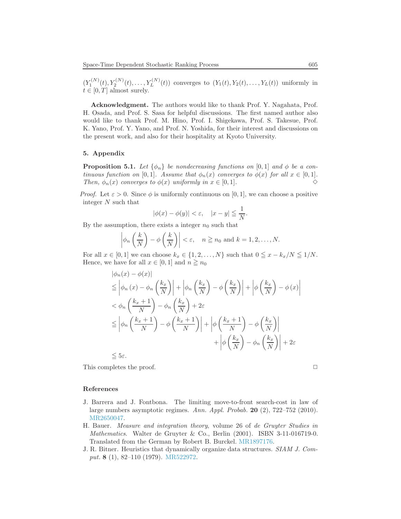$(Y_1^{(N)}(t), Y_2^{(N)}(t), \ldots, Y_L^{(N)}(t))$  converges to  $(Y_1(t), Y_2(t), \ldots, Y_L(t))$  uniformly in  $t \in [0, T]$  almost surely.

Acknowledgment. The authors would like to thank Prof. Y. Nagahata, Prof. H. Osada, and Prof. S. Sasa for helpful discussions. The first named author also would like to thank Prof. M. Hino, Prof. I. Shigekawa, Prof. S. Takesue, Prof. K. Yano, Prof. Y. Yano, and Prof. N. Yoshida, for their interest and discussions on the present work, and also for their hospitality at Kyoto University.

#### 5. Appendix

<span id="page-34-3"></span>**Proposition 5.1.** Let  $\{\phi_n\}$  be nondecreasing functions on [0, 1] and  $\phi$  be a continuous function on [0,1]. Assume that  $\phi_n(x)$  converges to  $\phi(x)$  for all  $x \in [0,1]$ . Then,  $\phi_n(x)$  converges to  $\phi(x)$  uniformly in  $x \in [0,1]$ .

*Proof.* Let  $\varepsilon > 0$ . Since  $\phi$  is uniformly continuous on [0, 1], we can choose a positive integer N such that

$$
|\phi(x) - \phi(y)| < \varepsilon, \quad |x - y| \leq \frac{1}{N}.
$$

By the assumption, there exists a integer  $n_0$  such that

$$
\left|\phi_n\left(\frac{k}{N}\right)-\phi\left(\frac{k}{N}\right)\right|<\varepsilon,\quad n\geqq n_0 \text{ and } k=1,2,\ldots,N.
$$

For all  $x \in [0,1]$  we can choose  $k_x \in \{1,2,\ldots,N\}$  such that  $0 \le x - k_x/N \le 1/N$ . Hence, we have for all  $x \in [0, 1]$  and  $n \geq n_0$ 

$$
\begin{split}\n&|\phi_n(x) - \phi(x)| \\
&\leq \left|\phi_n(x) - \phi_n\left(\frac{k_x}{N}\right)\right| + \left|\phi_n\left(\frac{k_x}{N}\right) - \phi\left(\frac{k_x}{N}\right)\right| + \left|\phi\left(\frac{k_x}{N}\right) - \phi(x)\right| \\
&< \phi_n\left(\frac{k_x + 1}{N}\right) - \phi_n\left(\frac{k_x}{N}\right) + 2\varepsilon \\
&\leq \left|\phi_n\left(\frac{k_x + 1}{N}\right) - \phi\left(\frac{k_x + 1}{N}\right)\right| + \left|\phi\left(\frac{k_x + 1}{N}\right) - \phi\left(\frac{k_x}{N}\right)\right| \\
&+ \left|\phi\left(\frac{k_x}{N}\right) - \phi_n\left(\frac{k_x}{N}\right)\right| + 2\varepsilon \\
&\leq 5\varepsilon.\n\end{split}
$$

This completes the proof.  $\Box$ 

#### References

- <span id="page-34-1"></span>J. Barrera and J. Fontbona. The limiting move-to-front search-cost in law of large numbers asymptotic regimes. Ann. Appl. Probab. 20 (2), 722–752 (2010). [MR2650047.](http://www.ams.org/mathscinet-getitem?mr=MR2650047)
- <span id="page-34-2"></span>H. Bauer. Measure and integration theory, volume 26 of de Gruyter Studies in Mathematics. Walter de Gruyter & Co., Berlin (2001). ISBN 3-11-016719-0. Translated from the German by Robert B. Burckel. [MR1897176.](http://www.ams.org/mathscinet-getitem?mr=MR1897176)
- <span id="page-34-0"></span>J. R. Bitner. Heuristics that dynamically organize data structures. SIAM J. Comput. 8 (1), 82–110 (1979). [MR522972.](http://www.ams.org/mathscinet-getitem?mr=MR522972)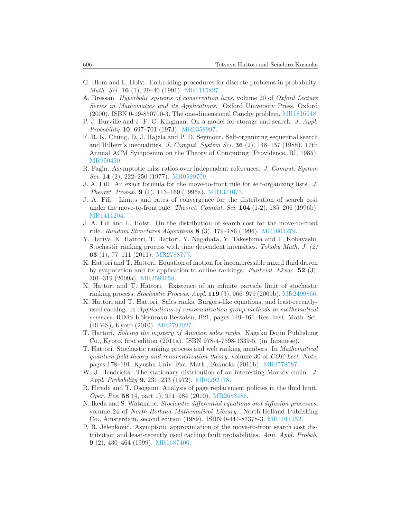- <span id="page-35-11"></span>G. Blom and L. Holst. Embedding procedures for discrete problems in probability. Math. Sci. **16** (1), 29-40 (1991). [MR1115827.](http://www.ams.org/mathscinet-getitem?mr=MR1115827)
- <span id="page-35-17"></span>A. Bressan. Hyperbolic systems of conservation laws, volume 20 of Oxford Lecture Series in Mathematics and its Applications. Oxford University Press, Oxford (2000). ISBN 0-19-850700-3. The one-dimensional Cauchy problem. [MR1816648.](http://www.ams.org/mathscinet-getitem?mr=MR1816648)
- <span id="page-35-8"></span>P. J. Burville and J. F. C. Kingman. On a model for storage and search. J. Appl. Probability 10, 697–701 (1973). [MR0358997.](http://www.ams.org/mathscinet-getitem?mr=MR0358997)
- <span id="page-35-10"></span>F. R. K. Chung, D. J. Hajela and P. D. Seymour. Self-organizing sequential search and Hilbert's inequalities. J. Comput. System Sci. **36** (2),  $148-157$  (1988). 17th Annual ACM Symposium on the Theory of Computing (Providence, RI, 1985). [MR950430.](http://www.ams.org/mathscinet-getitem?mr=MR950430)
- <span id="page-35-9"></span>R. Fagin. Asymptotic miss ratios over independent references. J. Comput. System Sci. 14 (2), 222-250 (1977). [MR0520709.](http://www.ams.org/mathscinet-getitem?mr=MR0520709)
- <span id="page-35-12"></span>J. A. Fill. An exact formula for the move-to-front rule for self-organizing lists. J. Theoret. Probab. 9 (1), 113–160 (1996a). [MR1371073.](http://www.ams.org/mathscinet-getitem?mr=MR1371073)
- <span id="page-35-14"></span>J. A. Fill. Limits and rates of convergence for the distribution of search cost under the move-to-front rule. *Theoret. Comput. Sci.*  $164$  (1-2), 185–206 (1996b). [MR1411204.](http://www.ams.org/mathscinet-getitem?mr=MR1411204)
- <span id="page-35-13"></span>J. A. Fill and L. Holst. On the distribution of search cost for the move-to-front rule. Random Structures Algorithms 8 (3), 179–186 (1996). [MR1603279.](http://www.ams.org/mathscinet-getitem?mr=MR1603279)
- <span id="page-35-5"></span>Y. Hariya, K. Hattori, T. Hattori, Y. Nagahata, Y. Takeshima and T. Kobayashi. Stochastic ranking process with time dependent intensities. Tohoku Math. J. (2) 63 (1), 77–111 (2011). [MR2788777.](http://www.ams.org/mathscinet-getitem?mr=MR2788777)
- <span id="page-35-1"></span>K. Hattori and T. Hattori. Equation of motion for incompressible mixed fluid driven by evaporation and its application to online rankings. Funkcial. Ekvac. 52 (3), 301–319 (2009a). [MR2589658.](http://www.ams.org/mathscinet-getitem?mr=MR2589658)
- <span id="page-35-6"></span>K. Hattori and T. Hattori. Existence of an infinite particle limit of stochastic ranking process. Stochastic Process. Appl. 119 (3), 966–979 (2009b). [MR2499866.](http://www.ams.org/mathscinet-getitem?mr=MR2499866)
- <span id="page-35-2"></span>K. Hattori and T. Hattori. Sales ranks, Burgers-like equations, and least-recentlyused caching. In Applications of renormalization group methods in mathematical sciences, RIMS Kôkyûroku Bessatsu, B21, pages 149–161. Res. Inst. Math. Sci. (RIMS), Kyoto (2010). [MR2792027.](http://www.ams.org/mathscinet-getitem?mr=MR2792027)
- <span id="page-35-4"></span>T. Hattori. Solving the mystery of Amazon sales ranks. Kagaku Dojin Publishing Co., Kyoto, first edition (2011a). ISBN 978-4-7598-1339-5. (in Japanese).
- <span id="page-35-3"></span>T. Hattori. Stochastic ranking process and web ranking numbers. In Mathematical quantum field theory and renormalization theory, volume 30 of COE Lect. Note, pages 178–191. Kyushu Univ. Fac. Math., Fukuoka (2011b). [MR2778587.](http://www.ams.org/mathscinet-getitem?mr=MR2778587)
- <span id="page-35-7"></span>W. J. Hendricks. The stationary distribution of an interesting Markov chain. J. Appl. Probability 9, 231–233 (1972). [MR0292178.](http://www.ams.org/mathscinet-getitem?mr=MR0292178)
- <span id="page-35-16"></span>R. Hirade and T. Osogami. Analysis of page replacement policies in the fluid limit. Oper. Res. 58 (4, part 1), 971–984 (2010). [MR2683486.](http://www.ams.org/mathscinet-getitem?mr=MR2683486)
- <span id="page-35-0"></span>N. Ikeda and S. Watanabe. Stochastic differential equations and diffusion processes, volume 24 of North-Holland Mathematical Library. North-Holland Publishing Co., Amsterdam, second edition (1989). ISBN 0-444-87378-3. [MR1011252.](http://www.ams.org/mathscinet-getitem?mr=MR1011252)
- <span id="page-35-15"></span>P. R. Jelenković. Asymptotic approximation of the move-to-front search cost distribution and least-recently used caching fault probabilities. Ann. Appl. Probab. 9 (2), 430–464 (1999). [MR1687406.](http://www.ams.org/mathscinet-getitem?mr=MR1687406)